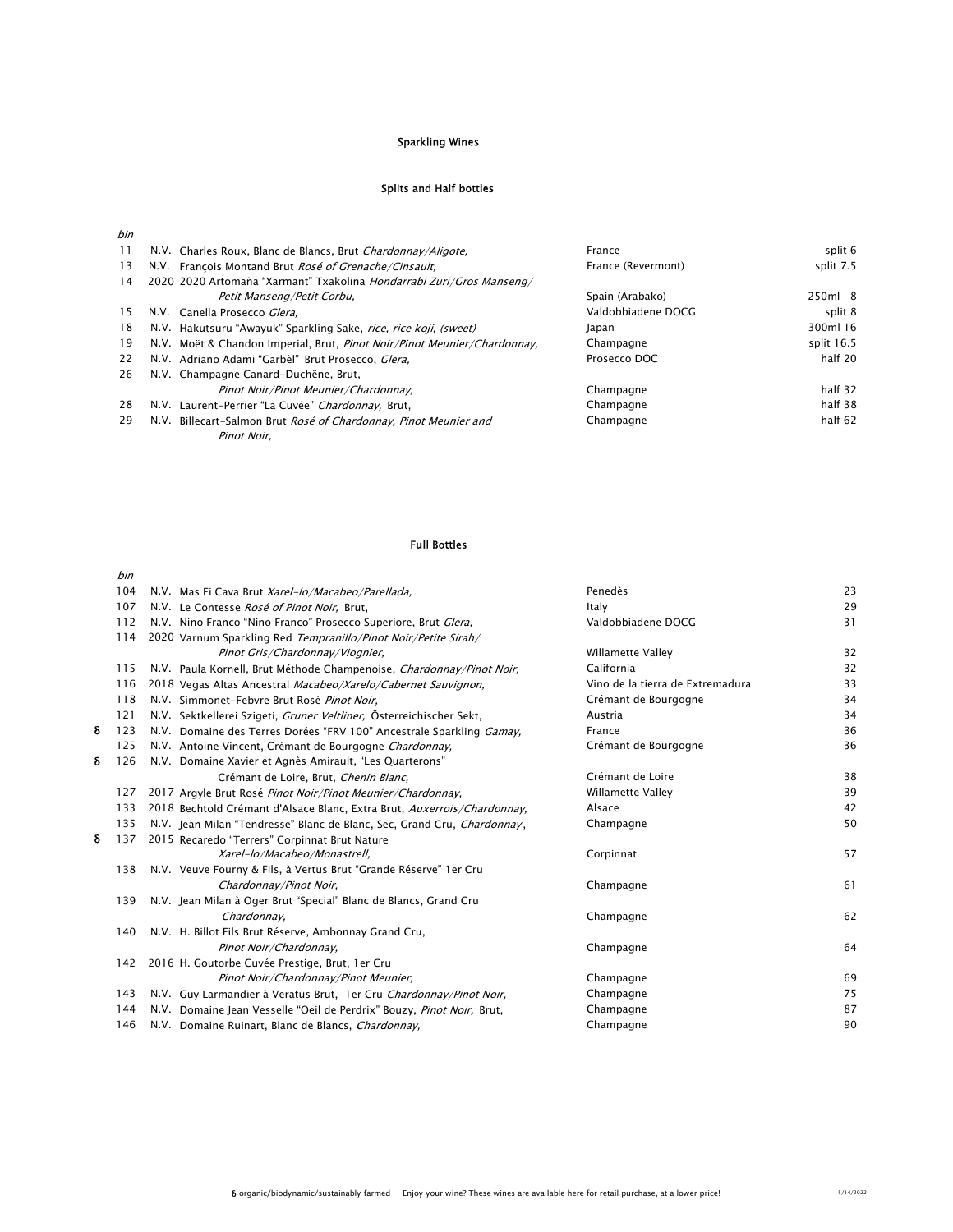# Sparkling Wines

# Splits and Half bottles

| bin |                                                                          |                    |            |
|-----|--------------------------------------------------------------------------|--------------------|------------|
| 11  | N.V. Charles Roux, Blanc de Blancs, Brut Chardonnay/Aligote,             | France             | split 6    |
| 13  | N.V. François Montand Brut Rosé of Grenache/Cinsault.                    | France (Revermont) | split 7.5  |
| 14  | 2020 2020 Artomaña "Xarmant" Txakolina Hondarrabi Zuri/Gros Manseng/     |                    |            |
|     | Petit Manseng/Petit Corbu,                                               | Spain (Arabako)    | 250ml 8    |
| 15  | N.V. Canella Prosecco Glera.                                             | Valdobbiadene DOCG | split 8    |
| 18  | N.V. Hakutsuru "Awayuk" Sparkling Sake, <i>rice, rice koji, (sweet)</i>  | Japan              | 300ml 16   |
| 19  | N.V. Moët & Chandon Imperial, Brut, Pinot Noir/Pinot Meunier/Chardonnay, | Champagne          | split 16.5 |
| 22  | N.V. Adriano Adami "Garbèl" Brut Prosecco. Glera.                        | Prosecco DOC       | half 20    |
| 26  | N.V. Champagne Canard-Duchêne, Brut,                                     |                    |            |
|     | Pinot Noir/Pinot Meunier/Chardonnay.                                     | Champagne          | half 32    |
| 28  | N.V. Laurent-Perrier "La Cuvée" Chardonnay, Brut,                        | Champagne          | half 38    |
| 29  | N.V. Billecart-Salmon Brut Rosé of Chardonnay, Pinot Meunier and         | Champagne          | half 62    |
|     | Pinot Noir.                                                              |                    |            |

### Full Bottles

|   | bin |                                                                         |                                  |    |
|---|-----|-------------------------------------------------------------------------|----------------------------------|----|
|   | 104 | N.V. Mas Fi Cava Brut Xarel-lo/Macabeo/Parellada,                       | Penedès                          | 23 |
|   | 107 | N.V. Le Contesse Rosé of Pinot Noir, Brut,                              | Italy                            | 29 |
|   | 112 | N.V. Nino Franco "Nino Franco" Prosecco Superiore, Brut Glera,          | Valdobbiadene DOCG               | 31 |
|   | 114 | 2020 Varnum Sparkling Red Tempranillo/Pinot Noir/Petite Sirah/          |                                  |    |
|   |     | Pinot Gris/Chardonnay/Viognier,                                         | Willamette Valley                | 32 |
|   | 115 | N.V. Paula Kornell, Brut Méthode Champenoise, Chardonnay/Pinot Noir,    | California                       | 32 |
|   | 116 | 2018 Vegas Altas Ancestral Macabeo/Xarelo/Cabernet Sauvignon,           | Vino de la tierra de Extremadura | 33 |
|   | 118 | N.V. Simmonet-Febvre Brut Rosé Pinot Noir.                              | Crémant de Bourgogne             | 34 |
|   | 121 | N.V. Sektkellerei Szigeti, Gruner Veltliner, Österreichischer Sekt,     | Austria                          | 34 |
| δ | 123 | N.V. Domaine des Terres Dorées "FRV 100" Ancestrale Sparkling Gamay.    | France                           | 36 |
|   | 125 | N.V. Antoine Vincent, Crémant de Bourgogne Chardonnay,                  | Crémant de Bourgogne             | 36 |
| δ | 126 | N.V. Domaine Xavier et Agnès Amirault, "Les Quarterons"                 |                                  |    |
|   |     | Crémant de Loire, Brut, Chenin Blanc,                                   | Crémant de Loire                 | 38 |
|   | 127 | 2017 Argyle Brut Rosé Pinot Noir/Pinot Meunier/Chardonnay,              | Willamette Valley                | 39 |
|   | 133 | 2018 Bechtold Crémant d'Alsace Blanc, Extra Brut, Auxerrois/Chardonnay, | Alsace                           | 42 |
|   | 135 | N.V. Jean Milan "Tendresse" Blanc de Blanc, Sec, Grand Cru, Chardonnay, | Champagne                        | 50 |
| δ | 137 | 2015 Recaredo "Terrers" Corpinnat Brut Nature                           |                                  |    |
|   |     | Xarel-lo/Macabeo/Monastrell,                                            | Corpinnat                        | 57 |
|   | 138 | N.V. Veuve Fourny & Fils, à Vertus Brut "Grande Réserve" 1 er Cru       |                                  |    |
|   |     | Chardonnay/Pinot Noir,                                                  | Champagne                        | 61 |
|   | 139 | N.V. Jean Milan à Oger Brut "Special" Blanc de Blancs, Grand Cru        |                                  |    |
|   |     | Chardonnay,                                                             | Champagne                        | 62 |
|   | 140 | N.V. H. Billot Fils Brut Réserve, Ambonnay Grand Cru,                   |                                  |    |
|   |     | Pinot Noir/Chardonnay.                                                  | Champagne                        | 64 |
|   |     | 142 2016 H. Goutorbe Cuvée Prestige, Brut, 1er Cru                      |                                  |    |
|   |     | Pinot Noir/Chardonnay/Pinot Meunier,                                    | Champagne                        | 69 |
|   | 143 | N.V. Guy Larmandier à Veratus Brut, 1 er Cru Chardonnay/Pinot Noir,     | Champagne                        | 75 |
|   | 144 | N.V. Domaine Jean Vesselle "Oeil de Perdrix" Bouzy, Pinot Noir, Brut,   | Champagne                        | 87 |
|   | 146 | N.V. Domaine Ruinart, Blanc de Blancs, Chardonnay,                      | Champagne                        | 90 |
|   |     |                                                                         |                                  |    |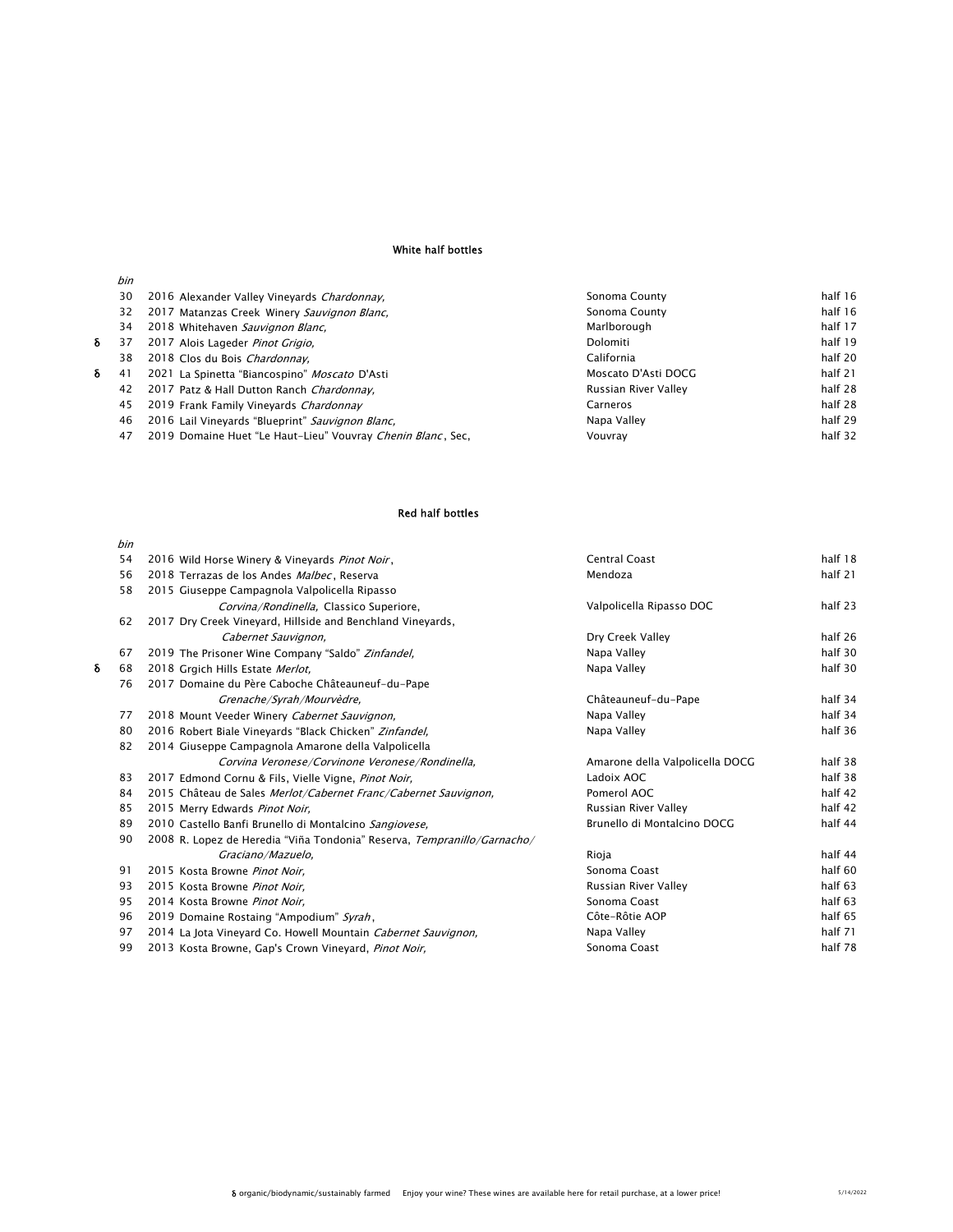# White half bottles

|   | bin |                                                             |                      |         |
|---|-----|-------------------------------------------------------------|----------------------|---------|
|   | 30  | 2016 Alexander Valley Vineyards Chardonnay.                 | Sonoma County        | half 16 |
|   | 32  | 2017 Matanzas Creek Winery Sauvignon Blanc,                 | Sonoma County        | half 16 |
|   | 34  | 2018 Whitehaven Sauvignon Blanc,                            | Marlborough          | half 17 |
| δ | 37  | 2017 Alois Lageder Pinot Grigio.                            | Dolomiti             | half 19 |
|   | 38  | 2018 Clos du Bois Chardonnay.                               | California           | half 20 |
| δ | 41  | 2021 La Spinetta "Biancospino" Moscato D'Asti               | Moscato D'Asti DOCG  | half 21 |
|   | 42  | 2017 Patz & Hall Dutton Ranch Chardonnay.                   | Russian River Valley | half 28 |
|   | 45  | 2019 Frank Family Vineyards Chardonnay                      | Carneros             | half 28 |
|   | 46  | 2016 Lail Vineyards "Blueprint" Sauvignon Blanc,            | Napa Valley          | half 29 |
|   | 47  | 2019 Domaine Huet "Le Haut-Lieu" Vouvray Chenin Blanc, Sec. | Vouvrav              | half 32 |
|   |     |                                                             |                      |         |

### Red half bottles

|   | bin |                                                                         |                                 |         |
|---|-----|-------------------------------------------------------------------------|---------------------------------|---------|
|   | 54  | 2016 Wild Horse Winery & Vineyards Pinot Noir,                          | <b>Central Coast</b>            | half 18 |
|   | 56  | 2018 Terrazas de los Andes Malbec, Reserva                              | Mendoza                         | half 21 |
|   | 58  | 2015 Giuseppe Campagnola Valpolicella Ripasso                           |                                 |         |
|   |     | Corvina/Rondinella, Classico Superiore,                                 | Valpolicella Ripasso DOC        | half 23 |
|   | 62  | 2017 Dry Creek Vineyard, Hillside and Benchland Vineyards,              |                                 |         |
|   |     | Cabernet Sauvignon,                                                     | Dry Creek Valley                | half 26 |
|   | 67  | 2019 The Prisoner Wine Company "Saldo" Zinfandel,                       | Napa Valley                     | half 30 |
| δ | 68  | 2018 Grgich Hills Estate Merlot.                                        | Napa Valley                     | half 30 |
|   | 76  | 2017 Domaine du Père Caboche Châteauneuf-du-Pape                        |                                 |         |
|   |     | Grenache/Syrah/Mourvèdre,                                               | Châteauneuf-du-Pape             | half 34 |
|   | 77  | 2018 Mount Veeder Winery Cabernet Sauvignon,                            | Napa Valley                     | half 34 |
|   | 80  | 2016 Robert Biale Vineyards "Black Chicken" Zinfandel,                  | Napa Valley                     | half 36 |
|   | 82  | 2014 Giuseppe Campagnola Amarone della Valpolicella                     |                                 |         |
|   |     | Corvina Veronese/Corvinone Veronese/Rondinella,                         | Amarone della Valpolicella DOCG | half 38 |
|   | 83  | 2017 Edmond Cornu & Fils, Vielle Vigne, Pinot Noir,                     | Ladoix AOC                      | half 38 |
|   | 84  | 2015 Château de Sales Merlot/Cabernet Franc/Cabernet Sauvignon,         | Pomerol AOC                     | half 42 |
|   | 85  | 2015 Merry Edwards Pinot Noir,                                          | Russian River Valley            | half 42 |
|   | 89  | 2010 Castello Banfi Brunello di Montalcino Sangiovese.                  | Brunello di Montalcino DOCG     | half 44 |
|   | 90  | 2008 R. Lopez de Heredia "Viña Tondonia" Reserva, Tempranillo/Garnacho/ |                                 |         |
|   |     | Graciano/Mazuelo,                                                       | Rioja                           | half 44 |
|   | 91  | 2015 Kosta Browne Pinot Noir,                                           | Sonoma Coast                    | half 60 |
|   | 93  | 2015 Kosta Browne Pinot Noir,                                           | Russian River Valley            | half 63 |
|   | 95  | 2014 Kosta Browne Pinot Noir.                                           | Sonoma Coast                    | half 63 |
|   | 96  | 2019 Domaine Rostaing "Ampodium" Syrah,                                 | Côte-Rôtie AOP                  | half 65 |
|   | 97  | 2014 La Jota Vineyard Co. Howell Mountain Cabernet Sauvignon,           | Napa Valley                     | half 71 |
|   | 99  | 2013 Kosta Browne, Gap's Crown Vineyard, Pinot Noir,                    | Sonoma Coast                    | half 78 |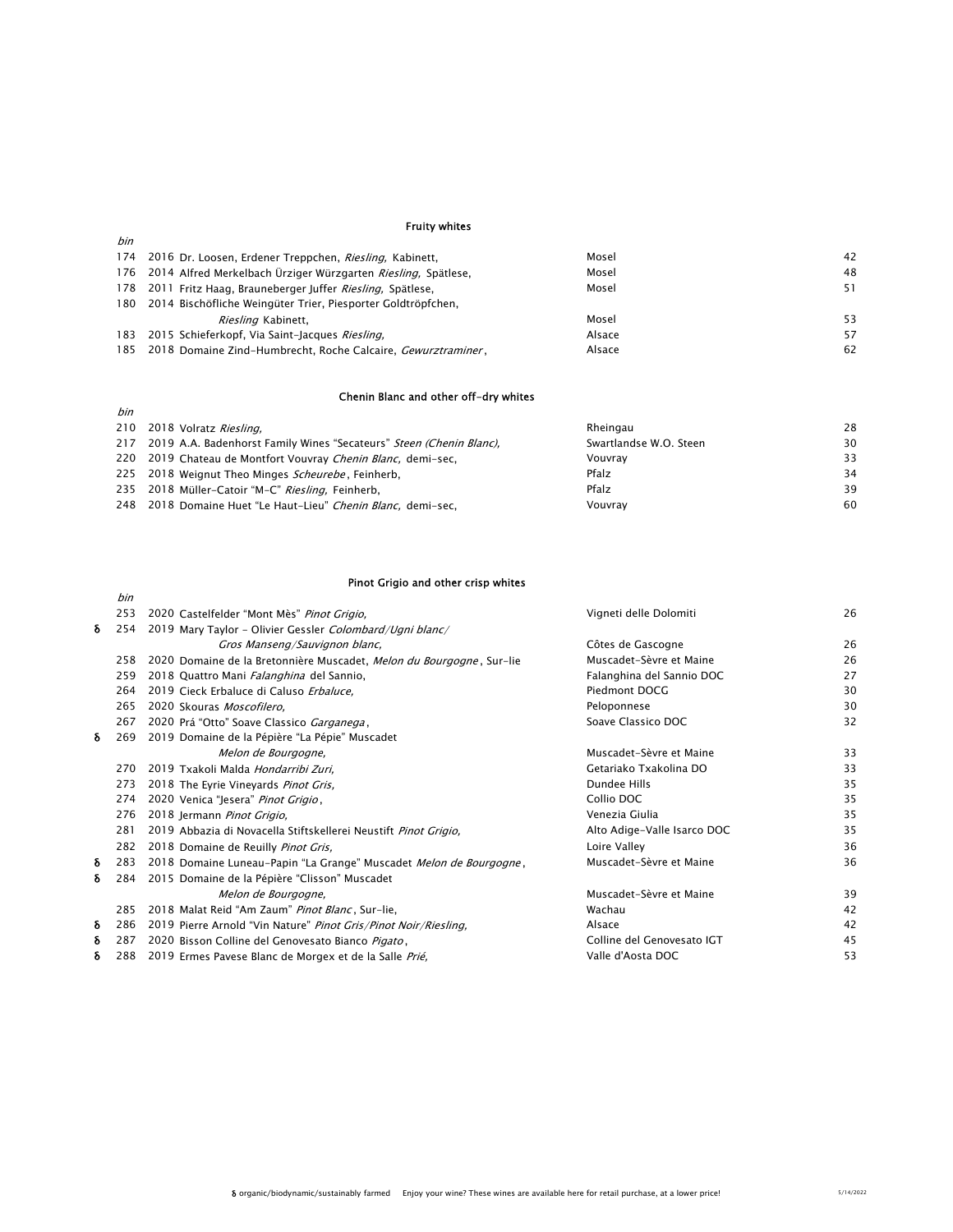#### Fruity whites

bin

bin

| 174 2016 Dr. Loosen, Erdener Treppchen, Riesling, Kabinett,              | Mosel  | 42 |
|--------------------------------------------------------------------------|--------|----|
| 176 2014 Alfred Merkelbach Ürziger Würzgarten Riesling, Spätlese,        | Mosel  | 48 |
| 178 2011 Fritz Haag, Brauneberger Juffer Riesling, Spätlese,             | Mosel  | 51 |
| 180 2014 Bischöfliche Weingüter Trier, Piesporter Goldtröpfchen,         |        |    |
| <i>Riesling</i> Kabinett,                                                | Mosel  | 53 |
| 183 2015 Schieferkopf, Via Saint-Jacques Riesling,                       | Alsace | 57 |
| 185 2018 Domaine Zind-Humbrecht, Roche Calcaire, <i>Gewurztraminer</i> , | Alsace | 62 |

# Chenin Blanc and other off-dry whites

| 210 2018 Volratz Riesling,                                              | Rheingau               | 28 |
|-------------------------------------------------------------------------|------------------------|----|
| 217 2019 A.A. Badenhorst Family Wines "Secateurs" Steen (Chenin Blanc), | Swartlandse W.O. Steen | 30 |
| 220 2019 Chateau de Montfort Vouvray Chenin Blanc, demi-sec,            | Vouvrav                | 33 |
| 225 2018 Weignut Theo Minges Scheurebe, Feinherb,                       | Pfalz                  | 34 |
| 235 2018 Müller-Catoir "M-C" Riesling, Feinherb,                        | Pfalz                  | 39 |
| 248 2018 Domaine Huet "Le Haut-Lieu" Chenin Blanc, demi-sec,            | Vouvrav                | 60 |

# Pinot Grigio and other crisp whites

|   | bin |                                                                      |                             |    |
|---|-----|----------------------------------------------------------------------|-----------------------------|----|
|   | 253 | 2020 Castelfelder "Mont Mès" Pinot Grigio,                           | Vigneti delle Dolomiti      | 26 |
| δ | 254 | 2019 Mary Taylor - Olivier Gessler Colombard/Ugni blanc/             |                             |    |
|   |     | Gros Manseng/Sauvignon blanc,                                        | Côtes de Gascogne           | 26 |
|   | 258 | 2020 Domaine de la Bretonnière Muscadet, Melon du Bourgogne, Sur-lie | Muscadet-Sèvre et Maine     | 26 |
|   | 259 | 2018 Quattro Mani Falanghina del Sannio,                             | Falanghina del Sannio DOC   | 27 |
|   | 264 | 2019 Cieck Erbaluce di Caluso Erbaluce.                              | Piedmont DOCG               | 30 |
|   | 265 | 2020 Skouras Moscofilero.                                            | Peloponnese                 | 30 |
|   | 267 | 2020 Prá "Otto" Soave Classico Garganega,                            | Soave Classico DOC          | 32 |
| δ | 269 | 2019 Domaine de la Pépière "La Pépie" Muscadet                       |                             |    |
|   |     | Melon de Bourgogne,                                                  | Muscadet-Sèvre et Maine     | 33 |
|   | 270 | 2019 Txakoli Malda Hondarribi Zuri.                                  | Getariako Txakolina DO      | 33 |
|   | 273 | 2018 The Eyrie Vineyards Pinot Gris,                                 | Dundee Hills                | 35 |
|   | 274 | 2020 Venica "Jesera" Pinot Grigio,                                   | Collio DOC                  | 35 |
|   | 276 | 2018 Jermann Pinot Grigio,                                           | Venezia Giulia              | 35 |
|   | 281 | 2019 Abbazia di Novacella Stiftskellerei Neustift Pinot Grigio,      | Alto Adige-Valle Isarco DOC | 35 |
|   | 282 | 2018 Domaine de Reuilly Pinot Gris,                                  | Loire Valley                | 36 |
| δ | 283 | 2018 Domaine Luneau-Papin "La Grange" Muscadet Melon de Bourgogne,   | Muscadet-Sèvre et Maine     | 36 |
| δ | 284 | 2015 Domaine de la Pépière "Clisson" Muscadet                        |                             |    |
|   |     | Melon de Bourgogne,                                                  | Muscadet-Sèvre et Maine     | 39 |
|   | 285 | 2018 Malat Reid "Am Zaum" Pinot Blanc, Sur-lie,                      | Wachau                      | 42 |
| δ | 286 | 2019 Pierre Arnold "Vin Nature" Pinot Gris/Pinot Noir/Riesling.      | Alsace                      | 42 |
| δ | 287 | 2020 Bisson Colline del Genovesato Bianco Pigato,                    | Colline del Genovesato IGT  | 45 |
| δ | 288 | 2019 Ermes Pavese Blanc de Morgex et de la Salle Prié,               | Valle d'Aosta DOC           | 53 |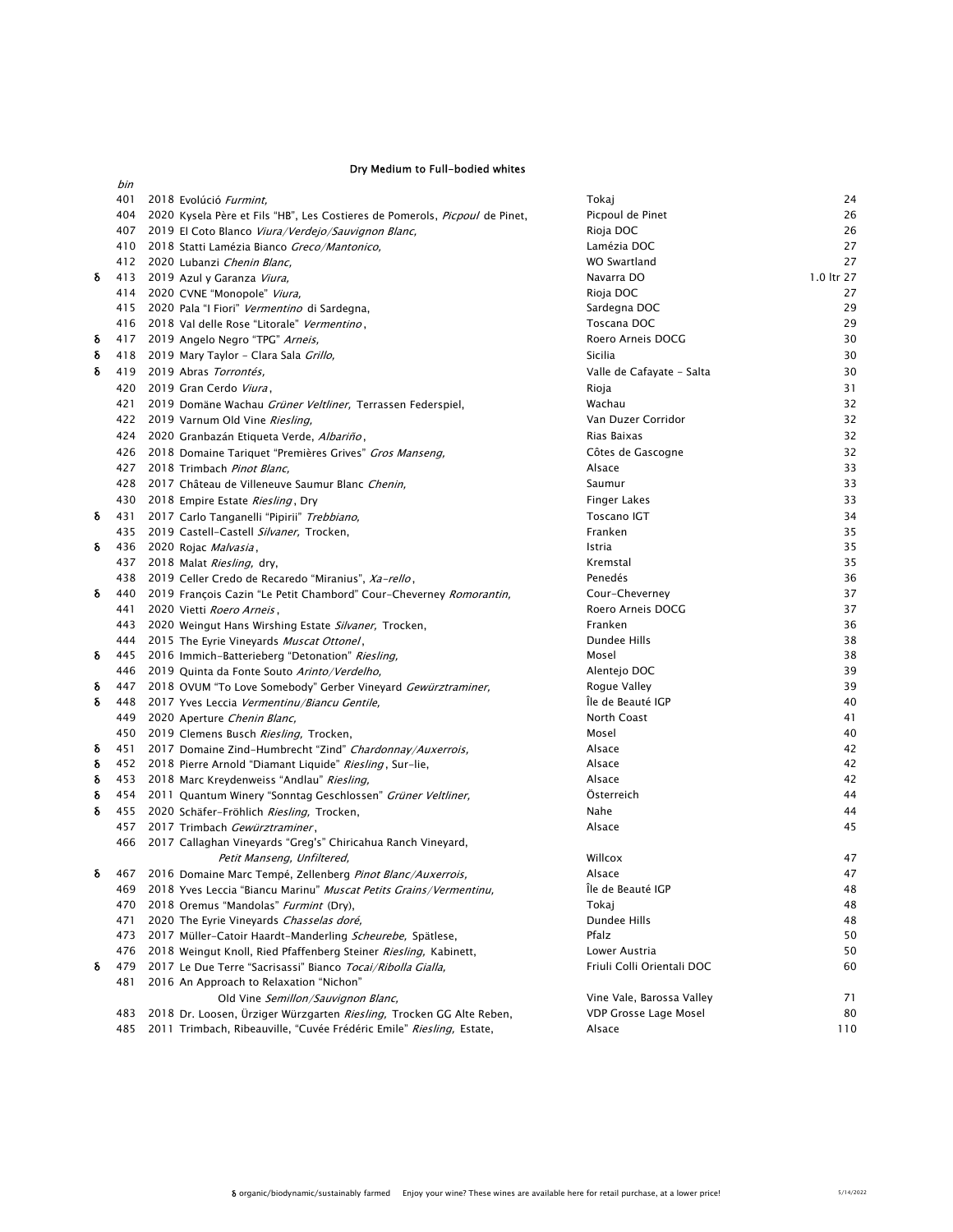#### Dry Medium to Full-bodied whites

|   | bin |                                                                                                                                              |                                                           |            |
|---|-----|----------------------------------------------------------------------------------------------------------------------------------------------|-----------------------------------------------------------|------------|
|   | 401 | 2018 Evolúció Furmint,                                                                                                                       | Tokaj                                                     | 24         |
|   |     | 404 2020 Kysela Père et Fils "HB", Les Costieres de Pomerols, Picpoul de Pinet,                                                              | Picpoul de Pinet                                          | 26         |
|   |     | 407 2019 El Coto Blanco Viura/Verdejo/Sauvignon Blanc,                                                                                       | Rioja DOC                                                 | 26         |
|   | 410 | 2018 Statti Lamézia Bianco Greco/Mantonico,                                                                                                  | Lamézia DOC                                               | 27         |
|   |     | 412 2020 Lubanzi Chenin Blanc,                                                                                                               | WO Swartland                                              | 27         |
| δ |     | 413 2019 Azul y Garanza Viura,                                                                                                               | Navarra DO                                                | 1.0 ltr 27 |
|   |     | 414 2020 CVNE "Monopole" Viura,                                                                                                              | Rioja DOC                                                 | 27         |
|   |     | 415 2020 Pala "I Fiori" Vermentino di Sardegna,                                                                                              | Sardegna DOC                                              | 29         |
|   |     | 416 2018 Val delle Rose "Litorale" Vermentino,                                                                                               | Toscana DOC                                               | 29         |
| δ |     | 417 2019 Angelo Negro "TPG" Arneis,                                                                                                          | Roero Arneis DOCG                                         | 30         |
| δ |     | 418 2019 Mary Taylor - Clara Sala Grillo,                                                                                                    | Sicilia                                                   | 30         |
| δ |     | 419 2019 Abras Torrontés,                                                                                                                    | Valle de Cafayate - Salta                                 | 30         |
|   |     | 420 2019 Gran Cerdo Viura,                                                                                                                   | Rioja                                                     | 31         |
|   | 421 | 2019 Domäne Wachau Grüner Veltliner, Terrassen Federspiel,                                                                                   | Wachau                                                    | 32         |
|   |     | 422 2019 Varnum Old Vine Riesling,                                                                                                           | Van Duzer Corridor                                        | 32         |
|   |     | 424 2020 Granbazán Etiqueta Verde, Albariño,                                                                                                 | Rias Baixas                                               | 32         |
|   |     | 426 2018 Domaine Tariquet "Premières Grives" Gros Manseng,                                                                                   | Côtes de Gascogne                                         | 32         |
|   |     | 427 2018 Trimbach Pinot Blanc,                                                                                                               | Alsace                                                    | 33         |
|   |     | 428 2017 Château de Villeneuve Saumur Blanc Chenin,                                                                                          | Saumur                                                    | 33         |
|   |     | 430 2018 Empire Estate Riesling, Dry                                                                                                         | <b>Finger Lakes</b>                                       | 33         |
| δ | 431 | 2017 Carlo Tanganelli "Pipirii" Trebbiano,                                                                                                   | <b>Toscano IGT</b>                                        | 34         |
|   |     | 435 2019 Castell-Castell Silvaner, Trocken,                                                                                                  | Franken                                                   | 35         |
| δ |     | 436 2020 Rojac Malvasia,                                                                                                                     | Istria                                                    | 35         |
|   |     | 437 2018 Malat Riesling, dry,                                                                                                                | Kremstal                                                  | 35         |
| δ |     | 438 2019 Celler Credo de Recaredo "Miranius", Xa-rello,                                                                                      | Penedés<br>Cour-Cheverney                                 | 36<br>37   |
|   | 441 | 440 2019 François Cazin "Le Petit Chambord" Cour-Cheverney Romorantin,<br>2020 Vietti Roero Arneis,                                          | Roero Arneis DOCG                                         | 37         |
|   | 443 | 2020 Weingut Hans Wirshing Estate Silvaner, Trocken,                                                                                         | Franken                                                   | 36         |
|   |     | 444 2015 The Eyrie Vineyards Muscat Ottonel,                                                                                                 | Dundee Hills                                              | 38         |
| δ |     | 445 2016 Immich-Batterieberg "Detonation" Riesling,                                                                                          | Mosel                                                     | 38         |
|   |     | 446 2019 Quinta da Fonte Souto Arinto/Verdelho,                                                                                              | Alentejo DOC                                              | 39         |
| δ |     | 447 2018 OVUM "To Love Somebody" Gerber Vineyard Gewürztraminer,                                                                             | Rogue Valley                                              | 39         |
| δ |     | 448 2017 Yves Leccia Vermentinu/Biancu Gentile,                                                                                              | Île de Beauté IGP                                         | 40         |
|   | 449 | 2020 Aperture Chenin Blanc,                                                                                                                  | North Coast                                               | 41         |
|   |     | 450 2019 Clemens Busch Riesling, Trocken,                                                                                                    | Mosel                                                     | 40         |
| δ | 451 | 2017 Domaine Zind-Humbrecht "Zind" Chardonnay/Auxerrois,                                                                                     | Alsace                                                    | 42         |
| δ |     | 452 2018 Pierre Arnold "Diamant Liquide" Riesling, Sur-lie,                                                                                  | Alsace                                                    | 42         |
| δ |     | 453 2018 Marc Kreydenweiss "Andlau" Riesling,                                                                                                | Alsace                                                    | 42         |
| δ |     | 454 2011 Quantum Winery "Sonntag Geschlossen" Grüner Veltliner,                                                                              | Österreich                                                | 44         |
| δ |     | 455 2020 Schäfer-Fröhlich Riesling, Trocken,                                                                                                 | Nahe                                                      | 44         |
|   | 457 | 2017 Trimbach Gewürztraminer,                                                                                                                | Alsace                                                    | 45         |
|   |     | 466 2017 Callaghan Vineyards "Greg's" Chiricahua Ranch Vineyard,                                                                             |                                                           |            |
|   |     | Petit Manseng, Unfiltered,                                                                                                                   | Willcox                                                   | 47         |
|   |     | 467 2016 Domaine Marc Tempé, Zellenberg Pinot Blanc/Auxerrois,                                                                               | Alsace                                                    | 47         |
|   | 469 | 2018 Yves Leccia "Biancu Marinu" Muscat Petits Grains/Vermentinu,                                                                            | Ile de Beauté IGP                                         | 48         |
|   | 470 | 2018 Oremus "Mandolas" <i>Furmint</i> (Dry),                                                                                                 | Tokaj                                                     | 48         |
|   | 471 | 2020 The Eyrie Vineyards Chasselas doré,                                                                                                     | Dundee Hills                                              | 48         |
|   | 473 | 2017 Müller-Catoir Haardt-Manderling Scheurebe, Spätlese,                                                                                    | Pfalz                                                     | 50         |
|   | 476 | 2018 Weingut Knoll, Ried Pfaffenberg Steiner Riesling, Kabinett,                                                                             | Lower Austria                                             | 50         |
| δ | 479 | 2017 Le Due Terre "Sacrisassi" Bianco Tocai/Ribolla Gialla.                                                                                  | Friuli Colli Orientali DOC                                | 60         |
|   | 481 | 2016 An Approach to Relaxation "Nichon"                                                                                                      |                                                           |            |
|   | 483 | Old Vine Semillon/Sauvignon Blanc,                                                                                                           | Vine Vale, Barossa Valley<br><b>VDP Grosse Lage Mosel</b> | 71<br>80   |
|   | 485 | 2018 Dr. Loosen, Ürziger Würzgarten Riesling, Trocken GG Alte Reben,<br>2011 Trimbach, Ribeauville, "Cuvée Frédéric Emile" Riesling, Estate, | Alsace                                                    | 110        |
|   |     |                                                                                                                                              |                                                           |            |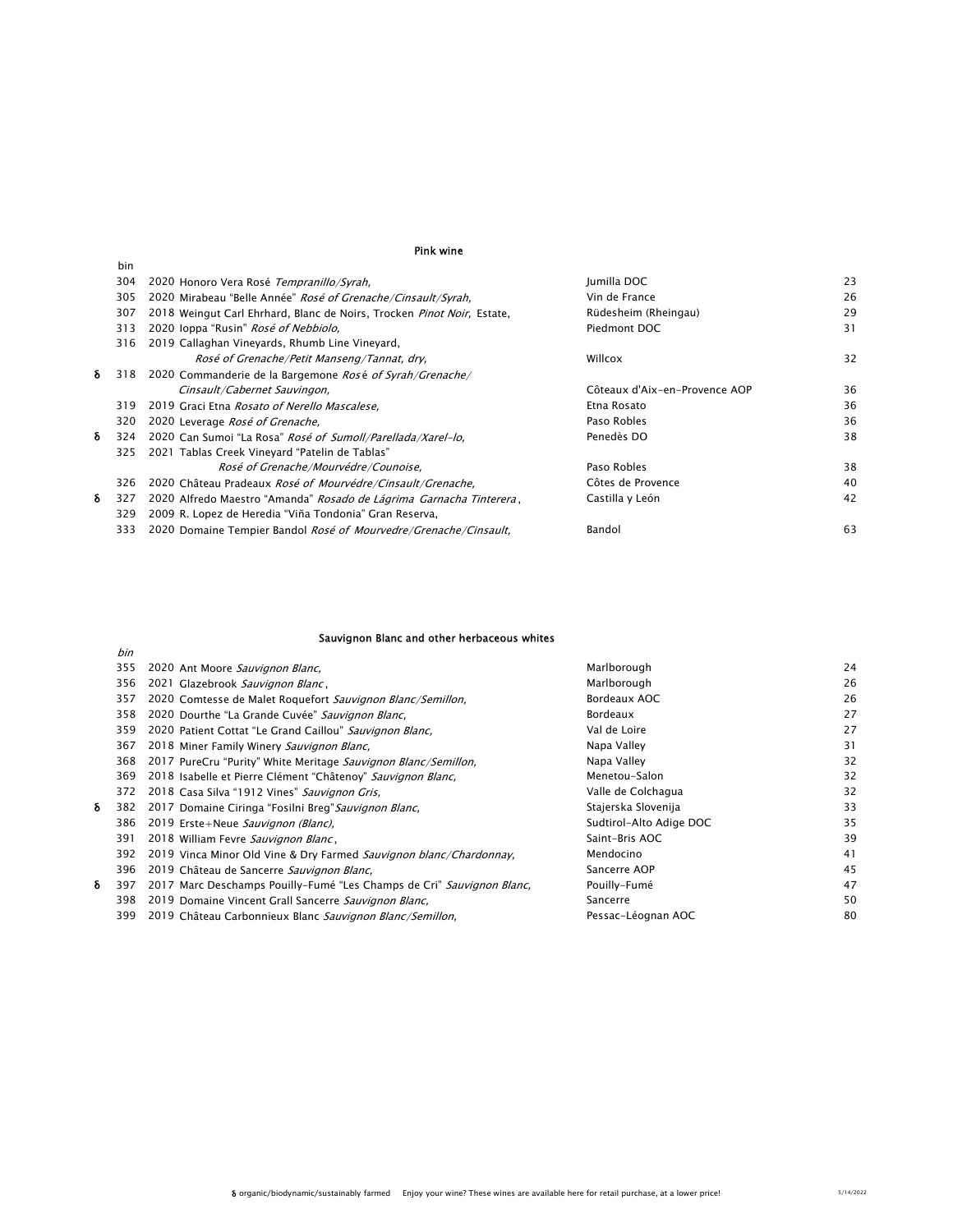#### Pink wine

|   | bin |                                                                          |                               |    |
|---|-----|--------------------------------------------------------------------------|-------------------------------|----|
|   | 304 | 2020 Honoro Vera Rosé Tempranillo/Syrah.                                 | Jumilla DOC                   | 23 |
|   | 305 | 2020 Mirabeau "Belle Année" Rosé of Grenache/Cinsault/Syrah,             | Vin de France                 | 26 |
|   | 307 | 2018 Weingut Carl Ehrhard, Blanc de Noirs, Trocken Pinot Noir, Estate,   | Rüdesheim (Rheingau)          | 29 |
|   | 313 | 2020 loppa "Rusin" Rosé of Nebbiolo,                                     | Piedmont DOC                  | 31 |
|   | 316 | 2019 Callaghan Vineyards, Rhumb Line Vineyard,                           |                               |    |
|   |     | Rosé of Grenache/Petit Manseng/Tannat, dry,                              | Willcox                       | 32 |
| δ | 318 | 2020 Commanderie de la Bargemone Rosé of Syrah/Grenache/                 |                               |    |
|   |     | Cinsault/Cabernet Sauvingon,                                             | Côteaux d'Aix-en-Provence AOP | 36 |
|   | 319 | 2019 Graci Etna Rosato of Nerello Mascalese,                             | Etna Rosato                   | 36 |
|   | 320 | 2020 Leverage Rosé of Grenache,                                          | Paso Robles                   | 36 |
| δ | 324 | 2020 Can Sumoi "La Rosa" Rosé of Sumoll/Parellada/Xarel-lo.              | Penedès DO                    | 38 |
|   | 325 | 2021 Tablas Creek Vineyard "Patelin de Tablas"                           |                               |    |
|   |     | Rosé of Grenache/Mourvédre/Counoise.                                     | Paso Robles                   | 38 |
|   | 326 | 2020 Château Pradeaux Rosé of Mourvédre/Cinsault/Grenache.               | Côtes de Provence             | 40 |
| δ | 327 | 2020 Alfredo Maestro "Amanda" Rosado de Lágrima Garnacha Tinterera,      | Castilla y León               | 42 |
|   | 329 | 2009 R. Lopez de Heredia "Viña Tondonia" Gran Reserva,                   |                               |    |
|   | 333 | 2020 Domaine Tempier Bandol <i>Rosé of Mourvedre/Grenache/Cinsault</i> , | Bandol                        | 63 |
|   |     |                                                                          |                               |    |

### Sauvignon Blanc and other herbaceous whites

|   | 355 | 2020 Ant Moore Sauvignon Blanc,                                       | Marlborough             | 24 |
|---|-----|-----------------------------------------------------------------------|-------------------------|----|
|   | 356 | 2021 Glazebrook Sauvignon Blanc,                                      | Marlborough             | 26 |
|   | 357 | 2020 Comtesse de Malet Roquefort Sauvignon Blanc/Semillon.            | Bordeaux AOC            | 26 |
|   | 358 | 2020 Dourthe "La Grande Cuvée" Sauvignon Blanc,                       | Bordeaux                | 27 |
|   | 359 | 2020 Patient Cottat "Le Grand Caillou" Sauvignon Blanc,               | Val de Loire            | 27 |
|   | 367 | 2018 Miner Family Winery Sauvignon Blanc,                             | Napa Valley             | 31 |
|   | 368 | 2017 PureCru "Purity" White Meritage Sauvignon Blanc/Semillon,        | Napa Valley             | 32 |
|   | 369 | 2018 Isabelle et Pierre Clément "Châtenoy" Sauvignon Blanc,           | Menetou-Salon           | 32 |
|   | 372 | 2018 Casa Silva "1912 Vines" Sauvignon Gris,                          | Valle de Colchagua      | 32 |
| δ | 382 | 2017 Domaine Ciringa "Fosilni Breg" Sauvignon Blanc,                  | Stajerska Slovenija     | 33 |
|   | 386 | 2019 Erste+Neue Sauvignon (Blanc).                                    | Sudtirol-Alto Adige DOC | 35 |
|   | 391 | 2018 William Fevre Sauvignon Blanc,                                   | Saint-Bris AOC          | 39 |
|   | 392 | 2019 Vinca Minor Old Vine & Dry Farmed Sauvignon blanc/Chardonnay,    | Mendocino               | 41 |
|   | 396 | 2019 Château de Sancerre Sauvignon Blanc,                             | Sancerre AOP            | 45 |
| δ | 397 | 2017 Marc Deschamps Pouilly-Fumé "Les Champs de Cri" Sauvignon Blanc, | Pouilly-Fumé            | 47 |
|   | 398 | 2019 Domaine Vincent Grall Sancerre Sauvignon Blanc,                  | Sancerre                | 50 |
|   | 399 | 2019 Château Carbonnieux Blanc Sauvignon Blanc/Semillon,              | Pessac-Léognan AOC      | 80 |
|   |     |                                                                       |                         |    |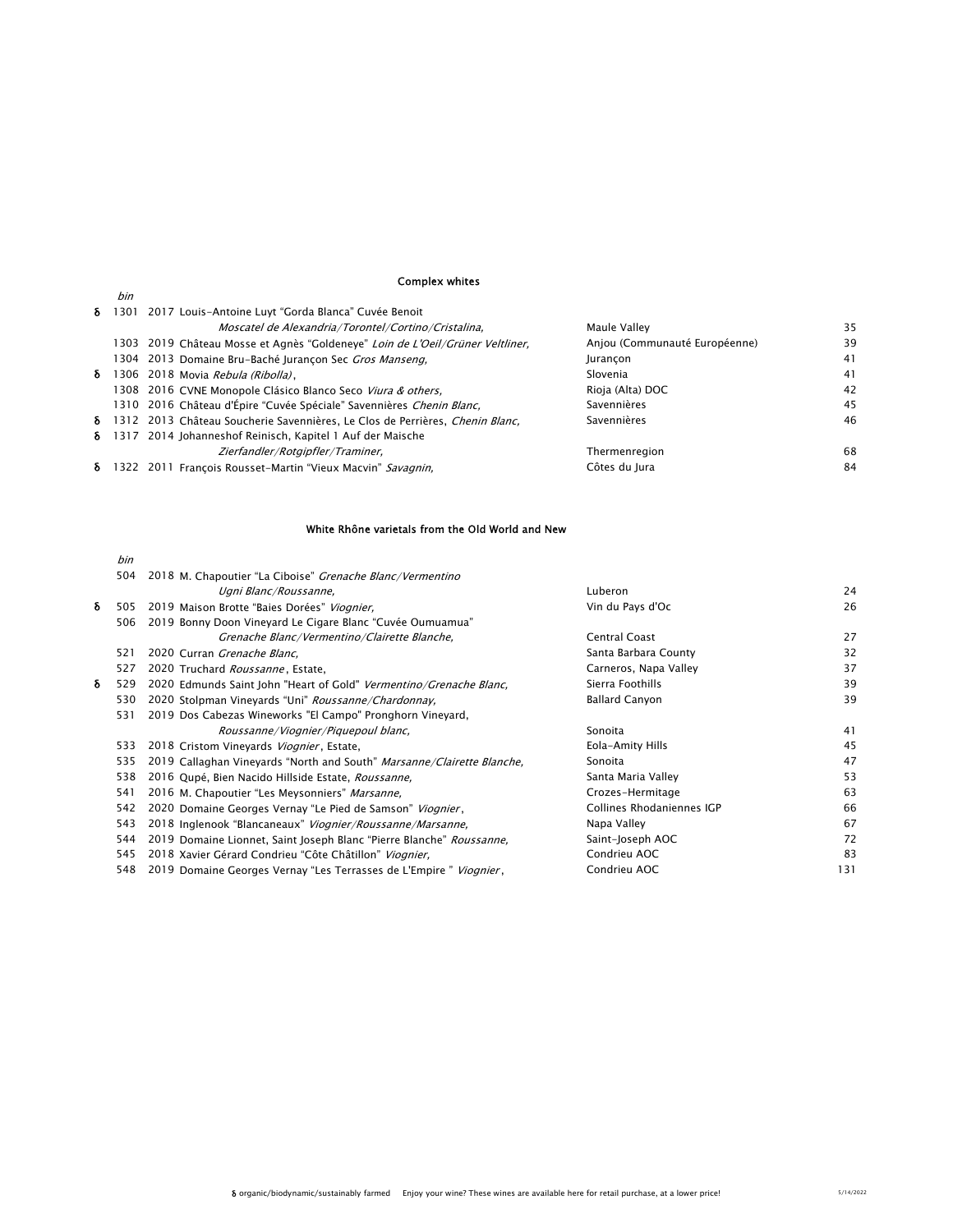# Complex whites

|   | bin |                                                                                       |                               |    |
|---|-----|---------------------------------------------------------------------------------------|-------------------------------|----|
| δ |     | 1301 2017 Louis-Antoine Luyt "Gorda Blanca" Cuvée Benoit                              |                               |    |
|   |     | Moscatel de Alexandria/Torontel/Cortino/Cristalina,                                   | Maule Valley                  | 35 |
|   |     | 1303 2019 Château Mosse et Agnès "Goldeneye" Loin de L'Oeil/Grüner Veltliner,         | Anjou (Communauté Européenne) | 39 |
|   |     | 1304 2013 Domaine Bru-Baché Jurançon Sec Gros Manseng,                                | Jurancon                      | 41 |
| δ |     | 1306 2018 Movia Rebula (Ribolla),                                                     | Slovenia                      | 41 |
|   |     | 1308 2016 CVNE Monopole Clásico Blanco Seco Viura & others,                           | Rioja (Alta) DOC              | 42 |
|   |     | 1310 2016 Château d'Épire "Cuvée Spéciale" Savennières Chenin Blanc,                  | Savennières                   | 45 |
|   |     | <b>δ</b> 1312 2013 Château Soucherie Savennières, Le Clos de Perrières, Chenin Blanc, | Savennières                   | 46 |
|   |     | <b>δ</b> 1317 2014 Johanneshof Reinisch, Kapitel 1 Auf der Maische                    |                               |    |
|   |     | Zierfandler/Rotgipfler/Traminer,                                                      | Thermenregion                 | 68 |
|   |     | <b>δ</b> 1322 2011 François Rousset-Martin "Vieux Macvin" Savagnin,                   | Côtes du Jura                 | 84 |

### White Rhône varietals from the Old World and New

|   | 504 | 2018 M. Chapoutier "La Ciboise" Grenache Blanc/Vermentino                      |                           |     |
|---|-----|--------------------------------------------------------------------------------|---------------------------|-----|
|   |     | Ugni Blanc/Roussanne,                                                          | Luberon                   | 24  |
| δ | 505 | 2019 Maison Brotte "Baies Dorées" Viognier,                                    | Vin du Pays d'Oc          | 26  |
|   | 506 | 2019 Bonny Doon Vineyard Le Cigare Blanc "Cuvée Oumuamua"                      |                           |     |
|   |     | Grenache Blanc/Vermentino/Clairette Blanche,                                   | Central Coast             | 27  |
|   | 521 | 2020 Curran Grenache Blanc.                                                    | Santa Barbara County      | 32  |
|   | 527 | 2020 Truchard Roussanne, Estate,                                               | Carneros, Napa Valley     | 37  |
| δ | 529 | 2020 Edmunds Saint John "Heart of Gold" Vermentino/Grenache Blanc,             | Sierra Foothills          | 39  |
|   | 530 | 2020 Stolpman Vineyards "Uni" Roussanne/Chardonnay.                            | <b>Ballard Canyon</b>     | 39  |
|   | 531 | 2019 Dos Cabezas Wineworks "El Campo" Pronghorn Vineyard,                      |                           |     |
|   |     | Roussanne/Viognier/Piquepoul blanc,                                            | Sonoita                   | 41  |
|   | 533 | 2018 Cristom Vineyards Viognier, Estate,                                       | Eola-Amity Hills          | 45  |
|   | 535 | 2019 Callaghan Vineyards "North and South" <i>Marsanne/Clairette Blanche</i> , | Sonoita                   | 47  |
|   | 538 | 2016 Qupé, Bien Nacido Hillside Estate, Roussanne,                             | Santa Maria Valley        | 53  |
|   | 541 | 2016 M. Chapoutier "Les Meysonniers" Marsanne,                                 | Crozes-Hermitage          | 63  |
|   | 542 | 2020 Domaine Georges Vernay "Le Pied de Samson" <i>Viognier</i> ,              | Collines Rhodaniennes IGP | 66  |
|   | 543 | 2018 Inglenook "Blancaneaux" Viognier/Roussanne/Marsanne,                      | Napa Valley               | 67  |
|   | 544 | 2019 Domaine Lionnet, Saint Joseph Blanc "Pierre Blanche" Roussanne,           | Saint-Joseph AOC          | 72  |
|   | 545 | 2018 Xavier Gérard Condrieu "Côte Châtillon" Viognier,                         | Condrieu AOC              | 83  |
|   | 548 | 2019 Domaine Georges Vernay "Les Terrasses de L'Empire " <i>Viognier</i> ,     | Condrieu AOC              | 131 |
|   |     |                                                                                |                           |     |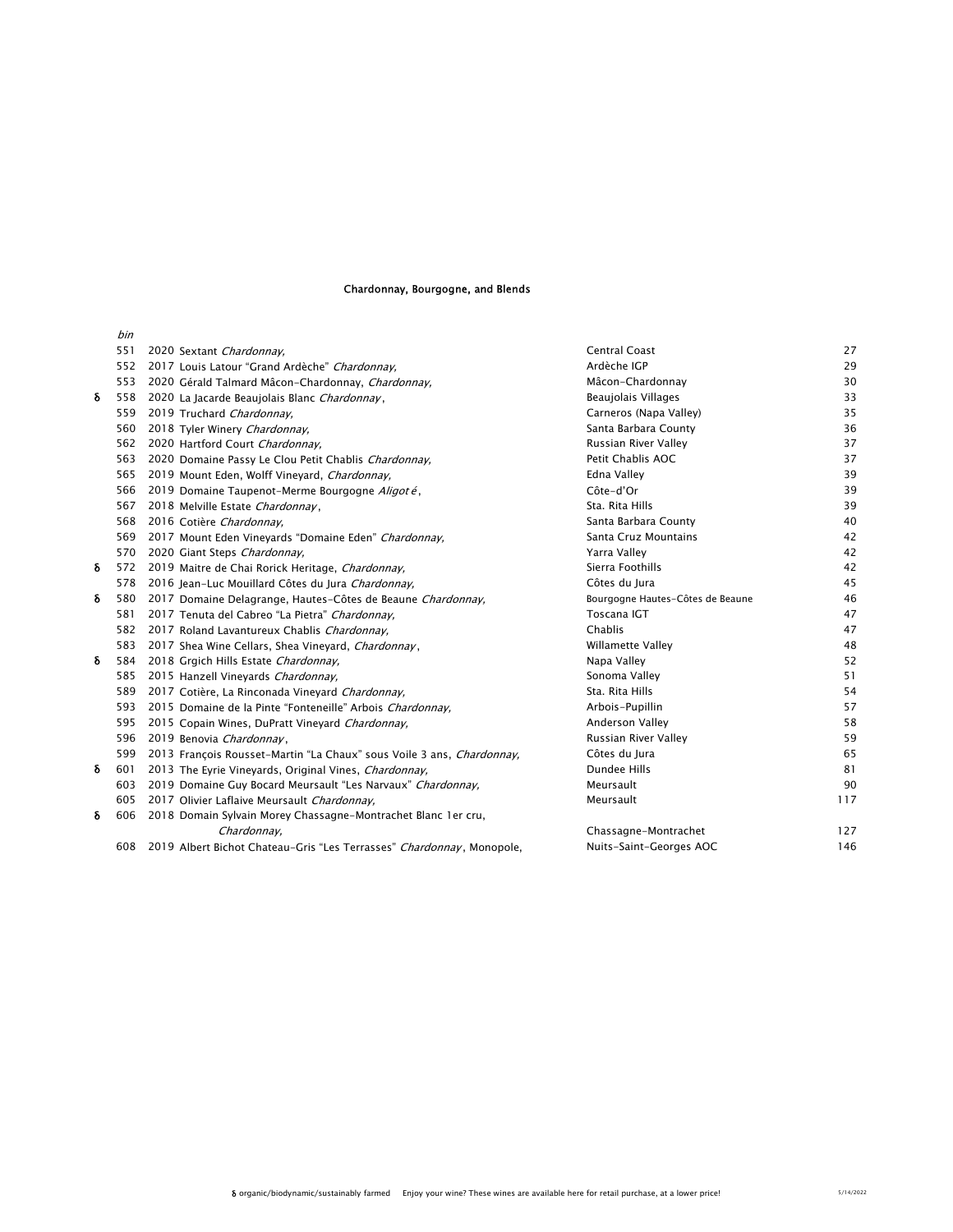### Chardonnay, Bourgogne, and Blends

|   | bin |                                                                       |                                  |     |
|---|-----|-----------------------------------------------------------------------|----------------------------------|-----|
|   | 551 | 2020 Sextant Chardonnay,                                              | <b>Central Coast</b>             | 27  |
|   | 552 | 2017 Louis Latour "Grand Ardèche" Chardonnay,                         | Ardèche IGP                      | 29  |
|   | 553 | 2020 Gérald Talmard Mâcon-Chardonnay, Chardonnay,                     | Mâcon-Chardonnay                 | 30  |
| δ | 558 | 2020 La Jacarde Beaujolais Blanc Chardonnay,                          | Beaujolais Villages              | 33  |
|   | 559 | 2019 Truchard Chardonnay.                                             | Carneros (Napa Valley)           | 35  |
|   | 560 | 2018 Tyler Winery Chardonnay,                                         | Santa Barbara County             | 36  |
|   | 562 | 2020 Hartford Court Chardonnay,                                       | Russian River Valley             | 37  |
|   | 563 | 2020 Domaine Passy Le Clou Petit Chablis Chardonnay.                  | Petit Chablis AOC                | 37  |
|   | 565 | 2019 Mount Eden, Wolff Vineyard, Chardonnay,                          | Edna Valley                      | 39  |
|   | 566 | 2019 Domaine Taupenot-Merme Bourgogne Aligoté,                        | Côte-d'Or                        | 39  |
|   | 567 | 2018 Melville Estate Chardonnay,                                      | Sta. Rita Hills                  | 39  |
|   | 568 | 2016 Cotière Chardonnay,                                              | Santa Barbara County             | 40  |
|   | 569 | 2017 Mount Eden Vineyards "Domaine Eden" Chardonnay,                  | Santa Cruz Mountains             | 42  |
|   | 570 | 2020 Giant Steps Chardonnay.                                          | Yarra Valley                     | 42  |
| δ | 572 | 2019 Maitre de Chai Rorick Heritage, Chardonnay,                      | Sierra Foothills                 | 42  |
|   | 578 | 2016 Jean-Luc Mouillard Côtes du Jura Chardonnay,                     | Côtes du Jura                    | 45  |
| δ | 580 | 2017 Domaine Delagrange, Hautes-Côtes de Beaune Chardonnay,           | Bourgogne Hautes-Côtes de Beaune | 46  |
|   | 581 | 2017 Tenuta del Cabreo "La Pietra" Chardonnay,                        | Toscana IGT                      | 47  |
|   | 582 | 2017 Roland Lavantureux Chablis Chardonnay,                           | Chablis                          | 47  |
|   | 583 | 2017 Shea Wine Cellars, Shea Vineyard, Chardonnay,                    | <b>Willamette Valley</b>         | 48  |
| δ | 584 | 2018 Grgich Hills Estate Chardonnay,                                  | Napa Valley                      | 52  |
|   | 585 | 2015 Hanzell Vineyards Chardonnay,                                    | Sonoma Valley                    | 51  |
|   | 589 | 2017 Cotière, La Rinconada Vineyard Chardonnay,                       | Sta. Rita Hills                  | 54  |
|   | 593 | 2015 Domaine de la Pinte "Fonteneille" Arbois Chardonnay.             | Arbois-Pupillin                  | 57  |
|   | 595 | 2015 Copain Wines, DuPratt Vineyard Chardonnay,                       | Anderson Valley                  | 58  |
|   | 596 | 2019 Benovia Chardonnay,                                              | Russian River Valley             | 59  |
|   | 599 | 2013 François Rousset-Martin "La Chaux" sous Voile 3 ans, Chardonnay, | Côtes du Jura                    | 65  |
| δ | 601 | 2013 The Eyrie Vineyards, Original Vines, Chardonnay,                 | Dundee Hills                     | 81  |
|   | 603 | 2019 Domaine Guy Bocard Meursault "Les Narvaux" Chardonnay,           | Meursault                        | 90  |
|   | 605 | 2017 Olivier Laflaive Meursault Chardonnay.                           | Meursault                        | 117 |
| δ | 606 | 2018 Domain Sylvain Morey Chassagne-Montrachet Blanc 1er cru,         |                                  |     |
|   |     | Chardonnay,                                                           | Chassagne-Montrachet             | 127 |
|   | 608 | 2019 Albert Bichot Chateau-Gris "Les Terrasses" Chardonnay, Monopole, | Nuits-Saint-Georges AOC          | 146 |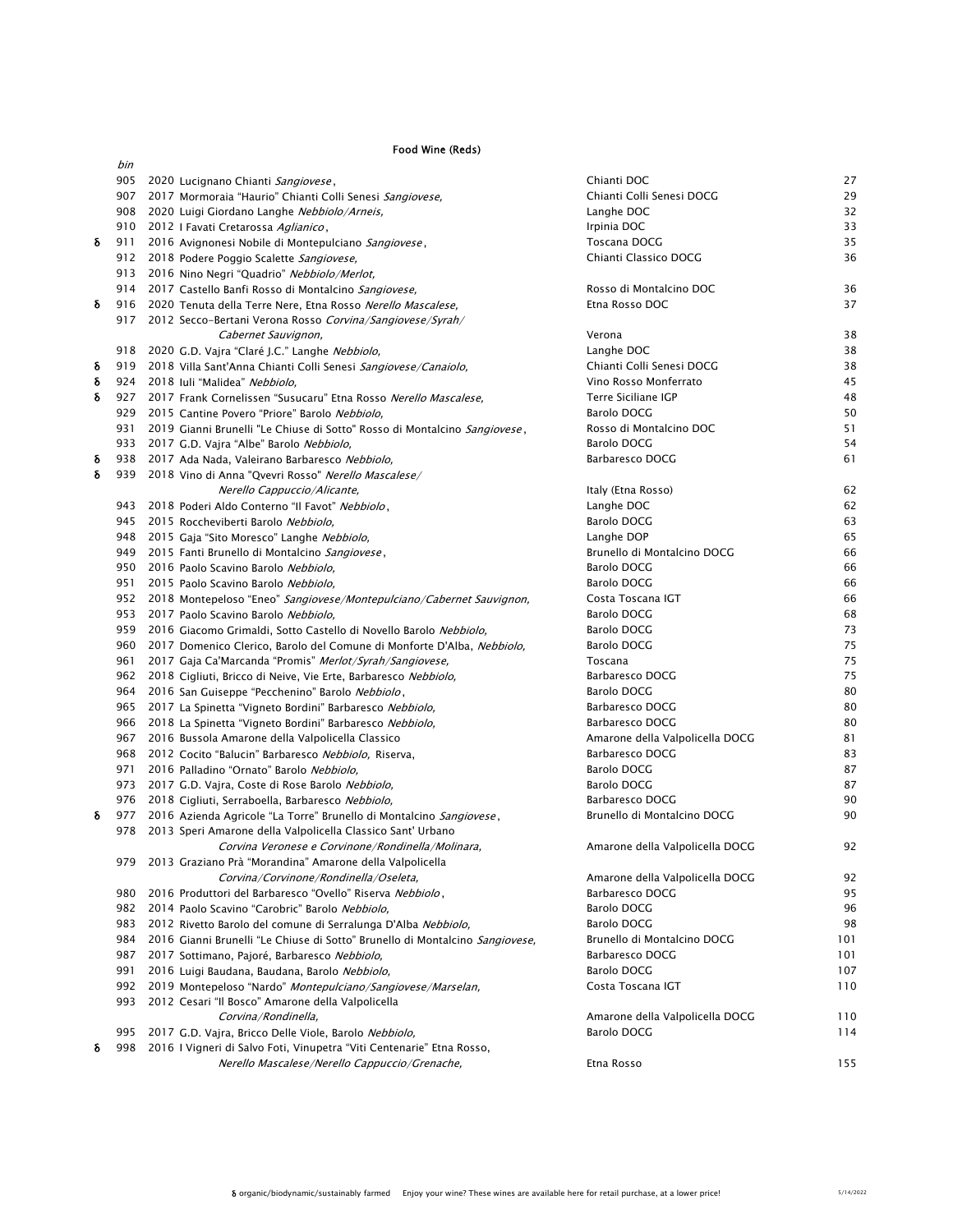### Food Wine (Reds)

|   | bin |                                                                                                         |                                                    |          |
|---|-----|---------------------------------------------------------------------------------------------------------|----------------------------------------------------|----------|
|   |     | 905 2020 Lucignano Chianti Sangiovese,                                                                  | Chianti DOC                                        | 27       |
|   |     | 907 2017 Mormoraia "Haurio" Chianti Colli Senesi Sangiovese,                                            | Chianti Colli Senesi DOCG                          | 29       |
|   |     | 908 2020 Luigi Giordano Langhe Nebbiolo/Arneis,                                                         | Langhe DOC                                         | 32       |
|   |     | 910 2012 I Favati Cretarossa Aglianico,                                                                 | Irpinia DOC                                        | 33       |
| δ |     | 911 2016 Avignonesi Nobile di Montepulciano Sangiovese,                                                 | Toscana DOCG                                       | 35       |
|   |     | 912 2018 Podere Poggio Scalette Sangiovese,                                                             | Chianti Classico DOCG                              | 36       |
|   |     | 913 2016 Nino Negri "Quadrio" Nebbiolo/Merlot,                                                          |                                                    |          |
|   |     | 914 2017 Castello Banfi Rosso di Montalcino Sangiovese,                                                 | Rosso di Montalcino DOC                            | 36       |
| δ |     | 916 2020 Tenuta della Terre Nere, Etna Rosso Nerello Mascalese,                                         | Etna Rosso DOC                                     | 37       |
|   |     | 917 2012 Secco-Bertani Verona Rosso Corvina/Sangiovese/Syrah/                                           |                                                    |          |
|   |     | Cabernet Sauvignon,                                                                                     | Verona                                             | 38       |
|   |     | 918 2020 G.D. Vajra "Claré J.C." Langhe Nebbiolo,                                                       | Langhe DOC                                         | 38       |
| δ |     | 919 2018 Villa Sant'Anna Chianti Colli Senesi Sangiovese/Canaiolo.                                      | Chianti Colli Senesi DOCG                          | 38       |
| δ |     | 924 2018 Iuli "Malidea" Nebbiolo,                                                                       | Vino Rosso Monferrato                              | 45       |
| δ |     | 927 2017 Frank Cornelissen "Susucaru" Etna Rosso Nerello Mascalese,                                     | Terre Siciliane IGP                                | 48       |
|   |     | 929 2015 Cantine Povero "Priore" Barolo Nebbiolo,                                                       | Barolo DOCG                                        | 50       |
|   |     | 931 2019 Gianni Brunelli "Le Chiuse di Sotto" Rosso di Montalcino Sangiovese,                           | Rosso di Montalcino DOC                            | 51       |
|   |     | 933 2017 G.D. Vajra "Albe" Barolo Nebbiolo,                                                             | Barolo DOCG                                        | 54       |
| δ |     | 938 2017 Ada Nada, Valeirano Barbaresco Nebbiolo,                                                       | Barbaresco DOCG                                    | 61       |
| δ |     | 939 2018 Vino di Anna "Qvevri Rosso" Nerello Mascalese/                                                 |                                                    |          |
|   |     | Nerello Cappuccio/Alicante,                                                                             | Italy (Etna Rosso)                                 | 62       |
|   |     | 943 2018 Poderi Aldo Conterno "Il Favot" Nebbiolo,                                                      | Langhe DOC                                         | 62       |
|   |     | 945 2015 Roccheviberti Barolo Nebbiolo,                                                                 | Barolo DOCG                                        | 63       |
|   |     | 948 2015 Gaja "Sito Moresco" Langhe Nebbiolo,                                                           | Langhe DOP                                         | 65       |
|   |     | 949 2015 Fanti Brunello di Montalcino Sangiovese,                                                       | Brunello di Montalcino DOCG                        | 66       |
|   |     | 950 2016 Paolo Scavino Barolo Nebbiolo,                                                                 | Barolo DOCG                                        | 66       |
|   | 951 | 2015 Paolo Scavino Barolo Nebbiolo,                                                                     | Barolo DOCG                                        | 66       |
|   |     | 952 2018 Montepeloso "Eneo" Sangiovese/Montepulciano/Cabernet Sauvignon,                                | Costa Toscana IGT                                  | 66       |
|   | 953 | 2017 Paolo Scavino Barolo Nebbiolo,                                                                     | Barolo DOCG                                        | 68       |
|   |     | 959 2016 Giacomo Grimaldi, Sotto Castello di Novello Barolo Nebbiolo,                                   | Barolo DOCG                                        | 73       |
|   |     | 960 2017 Domenico Clerico, Barolo del Comune di Monforte D'Alba, Nebbiolo,                              | Barolo DOCG                                        | 75       |
|   | 961 | 2017 Gaja Ca'Marcanda "Promis" <i>Merlot/Syrah/Sangiovese</i> ,                                         | Toscana                                            | 75       |
|   |     | 962 2018 Cigliuti, Bricco di Neive, Vie Erte, Barbaresco Nebbiolo,                                      | Barbaresco DOCG                                    | 75       |
|   |     | 964 2016 San Guiseppe "Pecchenino" Barolo Nebbiolo,                                                     | Barolo DOCG                                        | 80       |
|   |     | 965 2017 La Spinetta "Vigneto Bordini" Barbaresco Nebbiolo,                                             | Barbaresco DOCG                                    | 80<br>80 |
|   |     | 966 2018 La Spinetta "Vigneto Bordini" Barbaresco Nebbiolo,                                             | Barbaresco DOCG                                    |          |
|   |     | 967 2016 Bussola Amarone della Valpolicella Classico                                                    | Amarone della Valpolicella DOCG<br>Barbaresco DOCG | 81<br>83 |
|   |     | 968 2012 Cocito "Balucin" Barbaresco Nebbiolo, Riserva,<br>971 2016 Palladino "Ornato" Barolo Nebbiolo, | Barolo DOCG                                        | 87       |
|   |     | 973 2017 G.D. Vajra, Coste di Rose Barolo Nebbiolo,                                                     | Barolo DOCG                                        | 87       |
|   |     | 976 2018 Cigliuti, Serraboella, Barbaresco Nebbiolo,                                                    | Barbaresco DOCG                                    | 90       |
| δ |     | 977 2016 Azienda Agricole "La Torre" Brunello di Montalcino Sangiovese,                                 | Brunello di Montalcino DOCG                        | 90       |
|   |     | 978 2013 Speri Amarone della Valpolicella Classico Sant' Urbano                                         |                                                    |          |
|   |     | Corvina Veronese e Corvinone/Rondinella/Molinara,                                                       | Amarone della Valpolicella DOCG                    | 92       |
|   |     | 979 2013 Graziano Prà "Morandina" Amarone della Valpolicella                                            |                                                    |          |
|   |     | Corvina/Corvinone/Rondinella/Oseleta,                                                                   | Amarone della Valpolicella DOCG                    | 92       |
|   | 980 | 2016 Produttori del Barbaresco "Ovello" Riserva Nebbiolo,                                               | Barbaresco DOCG                                    | 95       |
|   |     | 982 2014 Paolo Scavino "Carobric" Barolo Nebbiolo,                                                      | Barolo DOCG                                        | 96       |
|   | 983 | 2012 Rivetto Barolo del comune di Serralunga D'Alba Nebbiolo,                                           | <b>Barolo DOCG</b>                                 | 98       |
|   | 984 | 2016 Gianni Brunelli "Le Chiuse di Sotto" Brunello di Montalcino Sangiovese,                            | Brunello di Montalcino DOCG                        | 101      |
|   | 987 | 2017 Sottimano, Pajoré, Barbaresco Nebbiolo,                                                            | Barbaresco DOCG                                    | 101      |
|   | 991 | 2016 Luigi Baudana, Baudana, Barolo Nebbiolo,                                                           | <b>Barolo DOCG</b>                                 | 107      |
|   | 992 | 2019 Montepeloso "Nardo" Montepulciano/Sangiovese/Marselan.                                             | Costa Toscana IGT                                  | 110      |
|   | 993 | 2012 Cesari "Il Bosco" Amarone della Valpolicella                                                       |                                                    |          |
|   |     | Corvina/Rondinella,                                                                                     | Amarone della Valpolicella DOCG                    | 110      |
|   | 995 | 2017 G.D. Vajra, Bricco Delle Viole, Barolo Nebbiolo,                                                   | Barolo DOCG                                        | 114      |
| δ | 998 | 2016 I Vigneri di Salvo Foti, Vinupetra "Viti Centenarie" Etna Rosso,                                   |                                                    |          |
|   |     | Nerello Mascalese/Nerello Cappuccio/Grenache,                                                           | Etna Rosso                                         | 155      |
|   |     |                                                                                                         |                                                    |          |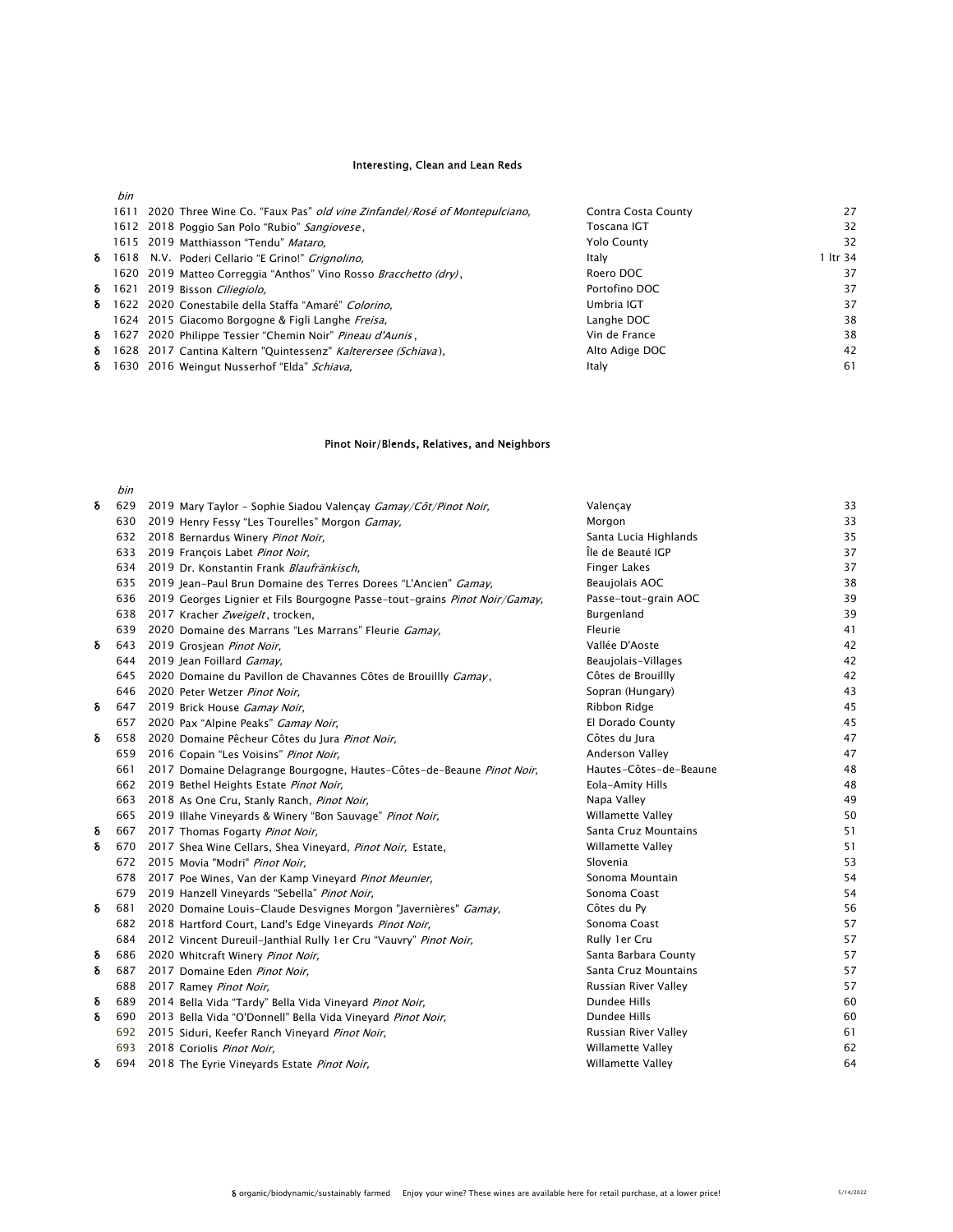#### Interesting, Clean and Lean Reds

bin

|  | 1611 2020 Three Wine Co. "Faux Pas" <i>old vine Zinfandel/Rosé of Montepulciano</i> , | Contra Costa County | 27       |
|--|---------------------------------------------------------------------------------------|---------------------|----------|
|  | 1612 2018 Poggio San Polo "Rubio" Sangiovese,                                         | Toscana IGT         | 32       |
|  | 1615 2019 Matthiasson "Tendu" Mataro.                                                 | <b>Yolo County</b>  | 32       |
|  | <b>δ</b> 1618 N.V. Poderi Cellario "E Grino!" <i>Grignolino</i> ,                     | Italy               | 1 ltr 34 |
|  | 1620 2019 Matteo Correggia "Anthos" Vino Rosso Bracchetto (dry),                      | Roero DOC           | 37       |
|  | δ 1621 2019 Bisson Ciliegiolo.                                                        | Portofino DOC       | 37       |
|  | δ 1622 2020 Conestabile della Staffa "Amaré" Colorino,                                | Umbria IGT          | 37       |
|  | 1624 2015 Giacomo Borgogne & Figli Langhe Freisa.                                     | Langhe DOC          | 38       |
|  | δ 1627 2020 Philippe Tessier "Chemin Noir" Pineau d'Aunis,                            | Vin de France       | 38       |
|  | δ 1628 2017 Cantina Kaltern "Quintessenz" Kalterersee (Schiava),                      | Alto Adige DOC      | 42       |
|  | δ 1630 2016 Weingut Nusserhof "Elda" Schiava,                                         | Italv               | 61       |

### Pinot Noir/Blends, Relatives, and Neighbors

|   | bin |                                                                                |                          |    |
|---|-----|--------------------------------------------------------------------------------|--------------------------|----|
| δ | 629 | 2019 Mary Taylor - Sophie Siadou Valençay Gamay/Côt/Pinot Noir,                | Valençay                 | 33 |
|   | 630 | 2019 Henry Fessy "Les Tourelles" Morgon <i>Gamay</i> ,                         | Morgon                   | 33 |
|   | 632 | 2018 Bernardus Winery Pinot Noir,                                              | Santa Lucia Highlands    | 35 |
|   | 633 | 2019 François Labet Pinot Noir,                                                | Île de Beauté IGP        | 37 |
|   | 634 | 2019 Dr. Konstantin Frank Blaufränkisch,                                       | <b>Finger Lakes</b>      | 37 |
|   |     | 635 2019 Jean-Paul Brun Domaine des Terres Dorees "L'Ancien" Gamay,            | Beaujolais AOC           | 38 |
|   |     | 636 2019 Georges Lignier et Fils Bourgogne Passe-tout-grains Pinot Noir/Gamay, | Passe-tout-grain AOC     | 39 |
|   |     | 638 2017 Kracher Zweigelt, trocken,                                            | Burgenland               | 39 |
|   | 639 | 2020 Domaine des Marrans "Les Marrans" Fleurie Gamay,                          | Fleurie                  | 41 |
| δ |     | 643 2019 Grosjean Pinot Noir,                                                  | Vallée D'Aoste           | 42 |
|   |     | 644 2019 Jean Foillard Gamay,                                                  | Beaujolais-Villages      | 42 |
|   |     | 645 2020 Domaine du Pavillon de Chavannes Côtes de Brouillly Gamay,            | Côtes de Brouillly       | 42 |
|   |     | 646 2020 Peter Wetzer Pinot Noir,                                              | Sopran (Hungary)         | 43 |
| δ |     | 647 2019 Brick House Gamay Noir,                                               | Ribbon Ridge             | 45 |
|   |     | 657 2020 Pax "Alpine Peaks" Gamay Noir,                                        | El Dorado County         | 45 |
| δ | 658 | 2020 Domaine Pêcheur Côtes du Jura Pinot Noir,                                 | Côtes du Jura            | 47 |
|   |     | 659 2016 Copain "Les Voisins" Pinot Noir,                                      | Anderson Valley          | 47 |
|   | 661 | 2017 Domaine Delagrange Bourgogne, Hautes-Côtes-de-Beaune Pinot Noir,          | Hautes-Côtes-de-Beaune   | 48 |
|   |     | 662 2019 Bethel Heights Estate Pinot Noir,                                     | Eola-Amity Hills         | 48 |
|   |     | 663 2018 As One Cru, Stanly Ranch, Pinot Noir,                                 | Napa Valley              | 49 |
|   |     | 665 2019 Illahe Vineyards & Winery "Bon Sauvage" Pinot Noir,                   | Willamette Valley        | 50 |
| δ |     | 667 2017 Thomas Fogarty Pinot Noir,                                            | Santa Cruz Mountains     | 51 |
| δ |     | 670 2017 Shea Wine Cellars, Shea Vineyard, Pinot Noir, Estate,                 | Willamette Valley        | 51 |
|   |     | 672 2015 Movia "Modri" Pinot Noir,                                             | Slovenia                 | 53 |
|   |     | 678 2017 Poe Wines, Van der Kamp Vineyard Pinot Meunier,                       | Sonoma Mountain          | 54 |
|   | 679 | 2019 Hanzell Vineyards "Sebella" Pinot Noir,                                   | Sonoma Coast             | 54 |
| δ | 681 | 2020 Domaine Louis-Claude Desvignes Morgon "Javernières" Gamay,                | Côtes du Py              | 56 |
|   | 682 | 2018 Hartford Court, Land's Edge Vineyards Pinot Noir,                         | Sonoma Coast             | 57 |
|   | 684 | 2012 Vincent Dureuil-Janthial Rully 1er Cru "Vauvry" Pinot Noir,               | Rully 1er Cru            | 57 |
| δ | 686 | 2020 Whitcraft Winery Pinot Noir,                                              | Santa Barbara County     | 57 |
| δ | 687 | 2017 Domaine Eden Pinot Noir,                                                  | Santa Cruz Mountains     | 57 |
|   |     | 688 2017 Ramey Pinot Noir,                                                     | Russian River Valley     | 57 |
| δ | 689 | 2014 Bella Vida "Tardy" Bella Vida Vineyard Pinot Noir,                        | Dundee Hills             | 60 |
| δ |     | 690 2013 Bella Vida "O'Donnell" Bella Vida Vineyard Pinot Noir,                | Dundee Hills             | 60 |
|   |     | 692 2015 Siduri, Keefer Ranch Vineyard Pinot Noir,                             | Russian River Valley     | 61 |
|   |     | 693 2018 Coriolis Pinot Noir,                                                  | <b>Willamette Valley</b> | 62 |
| δ | 694 | 2018 The Eyrie Vineyards Estate Pinot Noir,                                    | Willamette Valley        | 64 |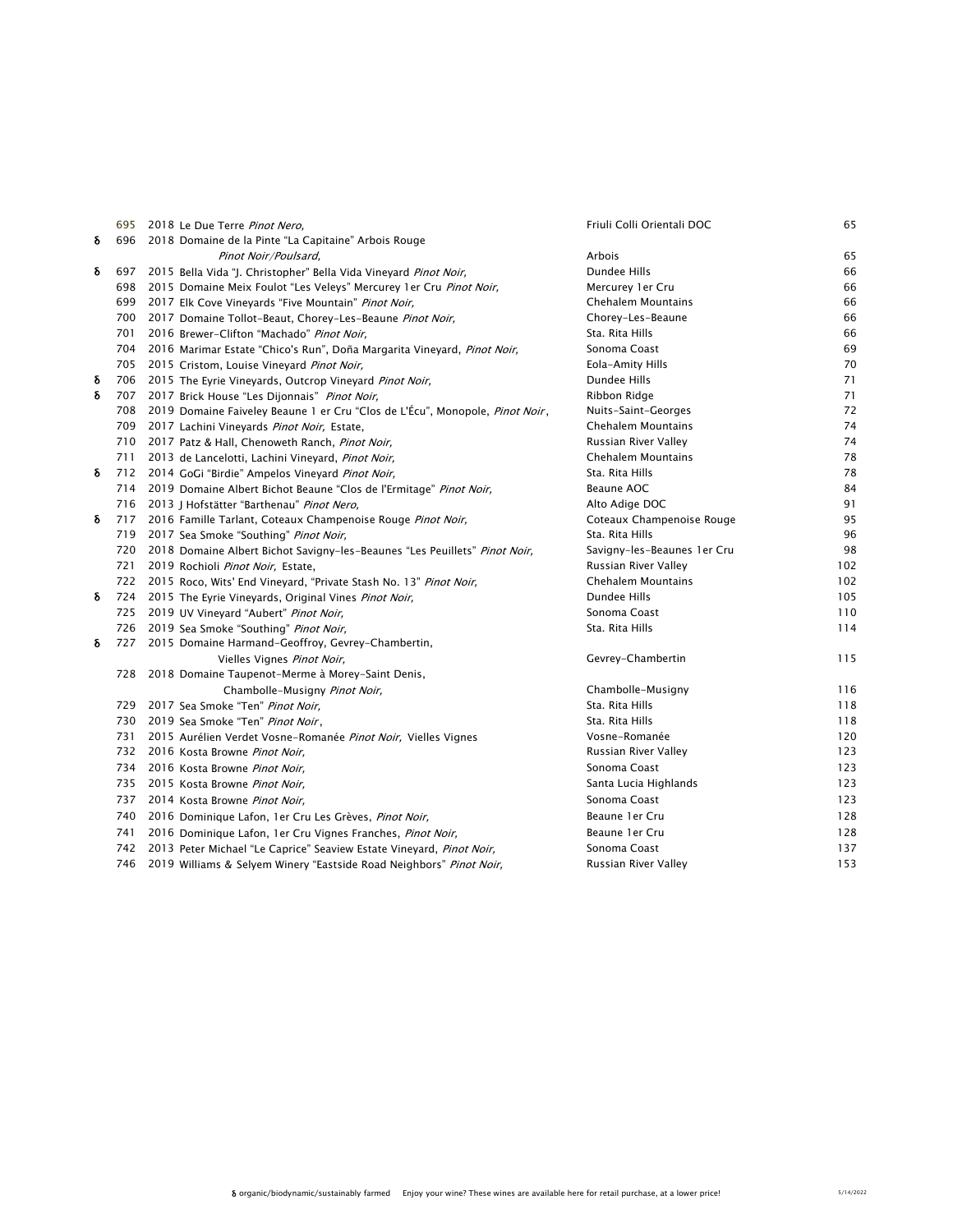|   |     | 695 2018 Le Due Terre Pinot Nero,                                                | Friuli Colli Orientali DOC  | 65  |
|---|-----|----------------------------------------------------------------------------------|-----------------------------|-----|
| δ |     | 696 2018 Domaine de la Pinte "La Capitaine" Arbois Rouge                         |                             |     |
|   |     | Pinot Noir/Poulsard,                                                             | Arbois                      | 65  |
| δ |     | 697 2015 Bella Vida "J. Christopher" Bella Vida Vineyard Pinot Noir,             | Dundee Hills                | 66  |
|   |     | 698 2015 Domaine Meix Foulot "Les Veleys" Mercurey 1er Cru Pinot Noir,           | Mercurey 1er Cru            | 66  |
|   |     | 699 2017 Elk Cove Vineyards "Five Mountain" Pinot Noir,                          | Chehalem Mountains          | 66  |
|   |     | 700 2017 Domaine Tollot-Beaut, Chorey-Les-Beaune Pinot Noir,                     | Chorey-Les-Beaune           | 66  |
|   | 701 | 2016 Brewer-Clifton "Machado" Pinot Noir,                                        | Sta. Rita Hills             | 66  |
|   | 704 | 2016 Marimar Estate "Chico's Run", Doña Margarita Vineyard, <i>Pinot Noir</i> ,  | Sonoma Coast                | 69  |
|   |     | 705 2015 Cristom, Louise Vineyard Pinot Noir,                                    | Eola-Amity Hills            | 70  |
| δ |     | 706 2015 The Eyrie Vineyards, Outcrop Vineyard Pinot Noir,                       | Dundee Hills                | 71  |
| δ |     | 707 2017 Brick House "Les Dijonnais" Pinot Noir,                                 | Ribbon Ridge                | 71  |
|   |     | 708 2019 Domaine Faiveley Beaune 1 er Cru "Clos de L'Écu", Monopole, Pinot Noir, | Nuits-Saint-Georges         | 72  |
|   |     | 709 2017 Lachini Vineyards Pinot Noir, Estate,                                   | Chehalem Mountains          | 74  |
|   |     | 710 2017 Patz & Hall, Chenoweth Ranch, Pinot Noir,                               | Russian River Valley        | 74  |
|   |     | 711 2013 de Lancelotti, Lachini Vineyard, Pinot Noir,                            | Chehalem Mountains          | 78  |
| δ |     | 712 2014 GoGi "Birdie" Ampelos Vineyard Pinot Noir,                              | Sta. Rita Hills             | 78  |
|   |     | 714 2019 Domaine Albert Bichot Beaune "Clos de l'Ermitage" Pinot Noir,           | Beaune AOC                  | 84  |
|   |     | 716 2013 J Hofstätter "Barthenau" Pinot Nero,                                    | Alto Adige DOC              | 91  |
| δ |     | 717 2016 Famille Tarlant, Coteaux Champenoise Rouge Pinot Noir,                  | Coteaux Champenoise Rouge   | 95  |
|   |     | 719 2017 Sea Smoke "Southing" Pinot Noir,                                        | Sta. Rita Hills             | 96  |
|   |     | 720 2018 Domaine Albert Bichot Savigny-les-Beaunes "Les Peuillets" Pinot Noir,   | Savigny-les-Beaunes 1er Cru | 98  |
|   | 721 | 2019 Rochioli Pinot Noir, Estate,                                                | Russian River Valley        | 102 |
|   |     | 722 2015 Roco, Wits' End Vineyard, "Private Stash No. 13" Pinot Noir,            | Chehalem Mountains          | 102 |
| δ |     | 724 2015 The Eyrie Vineyards, Original Vines Pinot Noir,                         | Dundee Hills                | 105 |
|   |     | 725 2019 UV Vineyard "Aubert" Pinot Noir,                                        | Sonoma Coast                | 110 |
|   |     | 726 2019 Sea Smoke "Southing" Pinot Noir,                                        | Sta. Rita Hills             | 114 |
| δ | 727 | 2015 Domaine Harmand-Geoffroy, Gevrey-Chambertin,                                |                             |     |
|   |     | Vielles Vignes Pinot Noir,                                                       | Gevrey-Chambertin           | 115 |
|   |     | 728 2018 Domaine Taupenot-Merme à Morey-Saint Denis,                             |                             |     |
|   |     | Chambolle-Musigny Pinot Noir,                                                    | Chambolle-Musigny           | 116 |
|   |     | 729 2017 Sea Smoke "Ten" Pinot Noir,                                             | Sta. Rita Hills             | 118 |
|   |     | 730 2019 Sea Smoke "Ten" Pinot Noir,                                             | Sta. Rita Hills             | 118 |
|   | 731 | 2015 Aurélien Verdet Vosne-Romanée Pinot Noir, Vielles Vignes                    | Vosne-Romanée               | 120 |
|   | 732 | 2016 Kosta Browne Pinot Noir,                                                    | Russian River Valley        | 123 |
|   |     | 734 2016 Kosta Browne Pinot Noir,                                                | Sonoma Coast                | 123 |
|   |     | 735 2015 Kosta Browne Pinot Noir,                                                | Santa Lucia Highlands       | 123 |
|   | 737 | 2014 Kosta Browne Pinot Noir,                                                    | Sonoma Coast                | 123 |
|   | 740 | 2016 Dominique Lafon, 1er Cru Les Grèves, Pinot Noir,                            | Beaune 1 er Cru             | 128 |
|   | 741 | 2016 Dominique Lafon, 1er Cru Vignes Franches, Pinot Noir,                       | Beaune 1 er Cru             | 128 |
|   | 742 | 2013 Peter Michael "Le Caprice" Seaview Estate Vineyard, Pinot Noir,             | Sonoma Coast                | 137 |
|   | 746 | 2019 Williams & Selyem Winery "Eastside Road Neighbors" Pinot Noir,              | Russian River Valley        | 153 |
|   |     |                                                                                  |                             |     |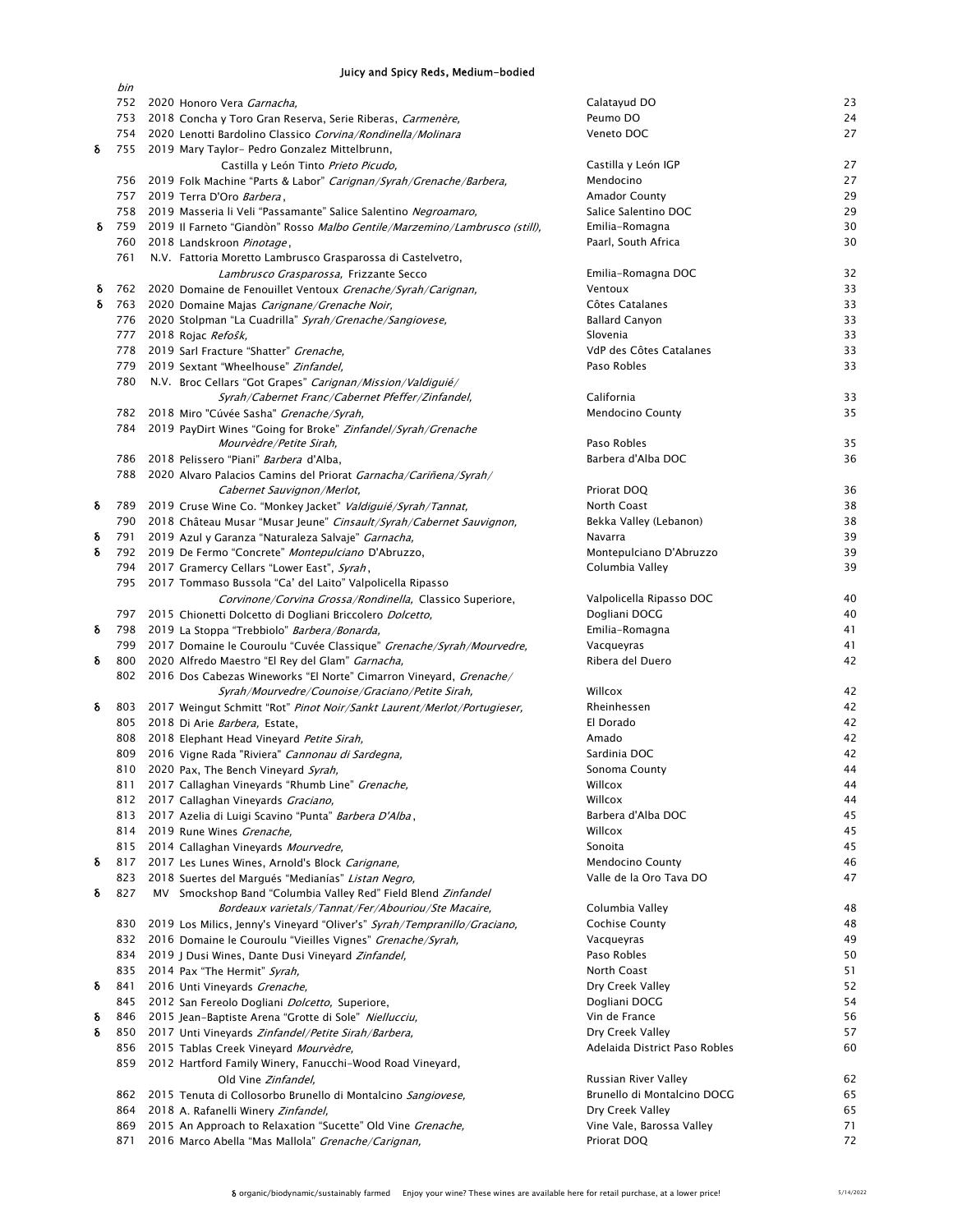### Juicy and Spicy Reds, Medium-bodied

|   | bin |                                                                                                                                            |                               |          |
|---|-----|--------------------------------------------------------------------------------------------------------------------------------------------|-------------------------------|----------|
|   |     | 752 2020 Honoro Vera Garnacha,                                                                                                             | Calatayud DO                  | 23       |
|   | 753 | 2018 Concha y Toro Gran Reserva, Serie Riberas, Carmenère,                                                                                 | Peumo DO                      | 24       |
|   |     | 754 2020 Lenotti Bardolino Classico Corvina/Rondinella/Molinara                                                                            | Veneto DOC                    | 27       |
| δ |     | 755 2019 Mary Taylor- Pedro Gonzalez Mittelbrunn,                                                                                          |                               |          |
|   |     | Castilla y León Tinto Prieto Picudo,                                                                                                       | Castilla y León IGP           | 27       |
|   |     | 756 2019 Folk Machine "Parts & Labor" Carignan/Syrah/Grenache/Barbera,                                                                     | Mendocino                     | 27       |
|   |     | 757 2019 Terra D'Oro Barbera,                                                                                                              | <b>Amador County</b>          | 29       |
|   |     | 758 2019 Masseria li Veli "Passamante" Salice Salentino Negroamaro,                                                                        | Salice Salentino DOC          | 29       |
| δ | 759 | 2019 Il Farneto "Giandòn" Rosso Malbo Gentile/Marzemino/Lambrusco (still),                                                                 | Emilia-Romagna                | 30       |
|   | 760 | 2018 Landskroon Pinotage,                                                                                                                  | Paarl, South Africa           | 30       |
|   | 761 | N.V. Fattoria Moretto Lambrusco Grasparossa di Castelvetro,                                                                                |                               |          |
|   |     | Lambrusco Grasparossa, Frizzante Secco                                                                                                     | Emilia-Romagna DOC            | 32       |
| δ |     | 762 2020 Domaine de Fenouillet Ventoux Grenache/Syrah/Carignan,                                                                            | Ventoux                       | 33       |
| δ |     | 763 2020 Domaine Majas Carignane/Grenache Noir,                                                                                            | Côtes Catalanes               | 33       |
|   |     | 776 2020 Stolpman "La Cuadrilla" Syrah/Grenache/Sangiovese,                                                                                | <b>Ballard Canyon</b>         | 33       |
|   | 777 | 2018 Rojac Refosk,                                                                                                                         | Slovenia                      | 33       |
|   | 778 | 2019 Sarl Fracture "Shatter" Grenache,                                                                                                     | VdP des Côtes Catalanes       | 33       |
|   | 779 | 2019 Sextant "Wheelhouse" Zinfandel,                                                                                                       | Paso Robles                   | 33       |
|   |     | 780 N.V. Broc Cellars "Got Grapes" Carignan/Mission/Valdiguié/                                                                             |                               |          |
|   |     | Syrah/Cabernet Franc/Cabernet Pfeffer/Zinfandel,                                                                                           | California                    | 33       |
|   |     | 782 2018 Miro "Cúvée Sasha" Grenache/Syrah,                                                                                                | <b>Mendocino County</b>       | 35       |
|   | 784 | 2019 PayDirt Wines "Going for Broke" Zinfandel/Syrah/Grenache                                                                              |                               |          |
|   |     | Mourvèdre/Petite Sirah,                                                                                                                    | Paso Robles                   | 35       |
|   |     | 786 2018 Pelissero "Piani" Barbera d'Alba,                                                                                                 | Barbera d'Alba DOC            | 36       |
|   |     | 788 2020 Alvaro Palacios Camins del Priorat Garnacha/Cariñena/Syrah/                                                                       |                               | 36       |
| δ |     | Cabernet Sauvignon/Merlot,                                                                                                                 | Priorat DOQ<br>North Coast    |          |
|   |     | 789 2019 Cruse Wine Co. "Monkey Jacket" Valdiguié/Syrah/Tannat,<br>790 2018 Château Musar "Musar Jeune" Cinsault/Syrah/Cabernet Sauvignon, | Bekka Valley (Lebanon)        | 38<br>38 |
| δ |     | 791 2019 Azul y Garanza "Naturaleza Salvaje" Garnacha,                                                                                     | Navarra                       | 39       |
| δ |     | 792 2019 De Fermo "Concrete" Montepulciano D'Abruzzo,                                                                                      | Montepulciano D'Abruzzo       | 39       |
|   |     | 794 2017 Gramercy Cellars "Lower East", Syrah,                                                                                             | Columbia Valley               | 39       |
|   |     | 795 2017 Tommaso Bussola "Ca' del Laito" Valpolicella Ripasso                                                                              |                               |          |
|   |     | Corvinone/Corvina Grossa/Rondinella, Classico Superiore,                                                                                   | Valpolicella Ripasso DOC      | 40       |
|   |     | 797 2015 Chionetti Dolcetto di Dogliani Briccolero Dolcetto,                                                                               | Dogliani DOCG                 | 40       |
| δ |     | 798 2019 La Stoppa "Trebbiolo" Barbera/Bonarda,                                                                                            | Emilia-Romagna                | 41       |
|   |     | 799 2017 Domaine le Couroulu "Cuvée Classique" Grenache/Syrah/Mourvedre,                                                                   | Vacqueyras                    | 41       |
| δ | 800 | 2020 Alfredo Maestro "El Rey del Glam" Garnacha,                                                                                           | Ribera del Duero              | 42       |
|   |     | 802 2016 Dos Cabezas Wineworks "El Norte" Cimarron Vineyard, Grenache/                                                                     |                               |          |
|   |     | Syrah/Mourvedre/Counoise/Graciano/Petite Sirah,                                                                                            | Willcox                       | 42       |
| δ |     | 803 2017 Weingut Schmitt "Rot" Pinot Noir/Sankt Laurent/Merlot/Portugieser,                                                                | Rheinhessen                   | 42       |
|   |     | 805 2018 Di Arie Barbera, Estate,                                                                                                          | El Dorado                     | 42       |
|   |     | 808 2018 Elephant Head Vineyard Petite Sirah,                                                                                              | Amado                         | 42       |
|   | 809 | 2016 Vigne Rada "Riviera" Cannonau di Sardegna,                                                                                            | Sardinia DOC                  | 42       |
|   |     | 810 2020 Pax, The Bench Vineyard Syrah,                                                                                                    | Sonoma County                 | 44       |
|   | 811 | 2017 Callaghan Vineyards "Rhumb Line" Grenache,                                                                                            | Willcox                       | 44       |
|   | 812 | 2017 Callaghan Vineyards Graciano,                                                                                                         | Willcox                       | 44       |
|   | 813 | 2017 Azelia di Luigi Scavino "Punta" Barbera D'Alba,                                                                                       | Barbera d'Alba DOC            | 45       |
|   | 814 | 2019 Rune Wines Grenache,                                                                                                                  | Willcox                       | 45       |
|   | 815 | 2014 Callaghan Vineyards Mourvedre,                                                                                                        | Sonoita                       | 45       |
| δ | 817 | 2017 Les Lunes Wines, Arnold's Block Carignane,                                                                                            | <b>Mendocino County</b>       | 46       |
|   | 823 | 2018 Suertes del Margués "Medianías" Listan Negro,                                                                                         | Valle de la Oro Tava DO       | 47       |
| δ | 827 | MV Smockshop Band "Columbia Valley Red" Field Blend Zinfandel                                                                              |                               |          |
|   |     | Bordeaux varietals/Tannat/Fer/Abouriou/Ste Macaire,                                                                                        | Columbia Valley               | 48       |
|   | 830 | 2019 Los Milics, Jenny's Vineyard "Oliver's" Syrah/Tempranillo/Graciano,                                                                   | <b>Cochise County</b>         | 48       |
|   | 832 | 2016 Domaine le Couroulu "Vieilles Vignes" Grenache/Syrah,                                                                                 | Vacqueyras                    | 49       |
|   | 834 | 2019 J Dusi Wines, Dante Dusi Vineyard Zinfandel,                                                                                          | Paso Robles                   | 50       |
|   | 835 | 2014 Pax "The Hermit" Syrah,                                                                                                               | North Coast                   | 51       |
| δ | 841 | 2016 Unti Vineyards Grenache,                                                                                                              | Dry Creek Valley              | 52       |
|   | 845 | 2012 San Fereolo Dogliani <i>Dolcetto</i> , Superiore,                                                                                     | Dogliani DOCG                 | 54       |
| δ | 846 | 2015 Jean-Baptiste Arena "Grotte di Sole" Niellucciu,                                                                                      | Vin de France                 | 56       |
| δ | 850 | 2017 Unti Vineyards Zinfandel/Petite Sirah/Barbera,                                                                                        | Dry Creek Valley              | 57       |
|   | 856 | 2015 Tablas Creek Vineyard Mourvèdre,                                                                                                      | Adelaida District Paso Robles | 60       |
|   | 859 | 2012 Hartford Family Winery, Fanucchi-Wood Road Vineyard,                                                                                  |                               |          |
|   |     | Old Vine Zinfandel,                                                                                                                        | Russian River Valley          | 62       |
|   | 862 | 2015 Tenuta di Collosorbo Brunello di Montalcino Sangiovese,                                                                               | Brunello di Montalcino DOCG   | 65       |
|   | 864 | 2018 A. Rafanelli Winery Zinfandel,                                                                                                        | Dry Creek Valley              | 65       |
|   | 869 | 2015 An Approach to Relaxation "Sucette" Old Vine Grenache,                                                                                | Vine Vale, Barossa Valley     | 71       |
|   | 871 | 2016 Marco Abella "Mas Mallola" Grenache/Carignan,                                                                                         | Priorat DOQ                   | 72       |
|   |     |                                                                                                                                            |                               |          |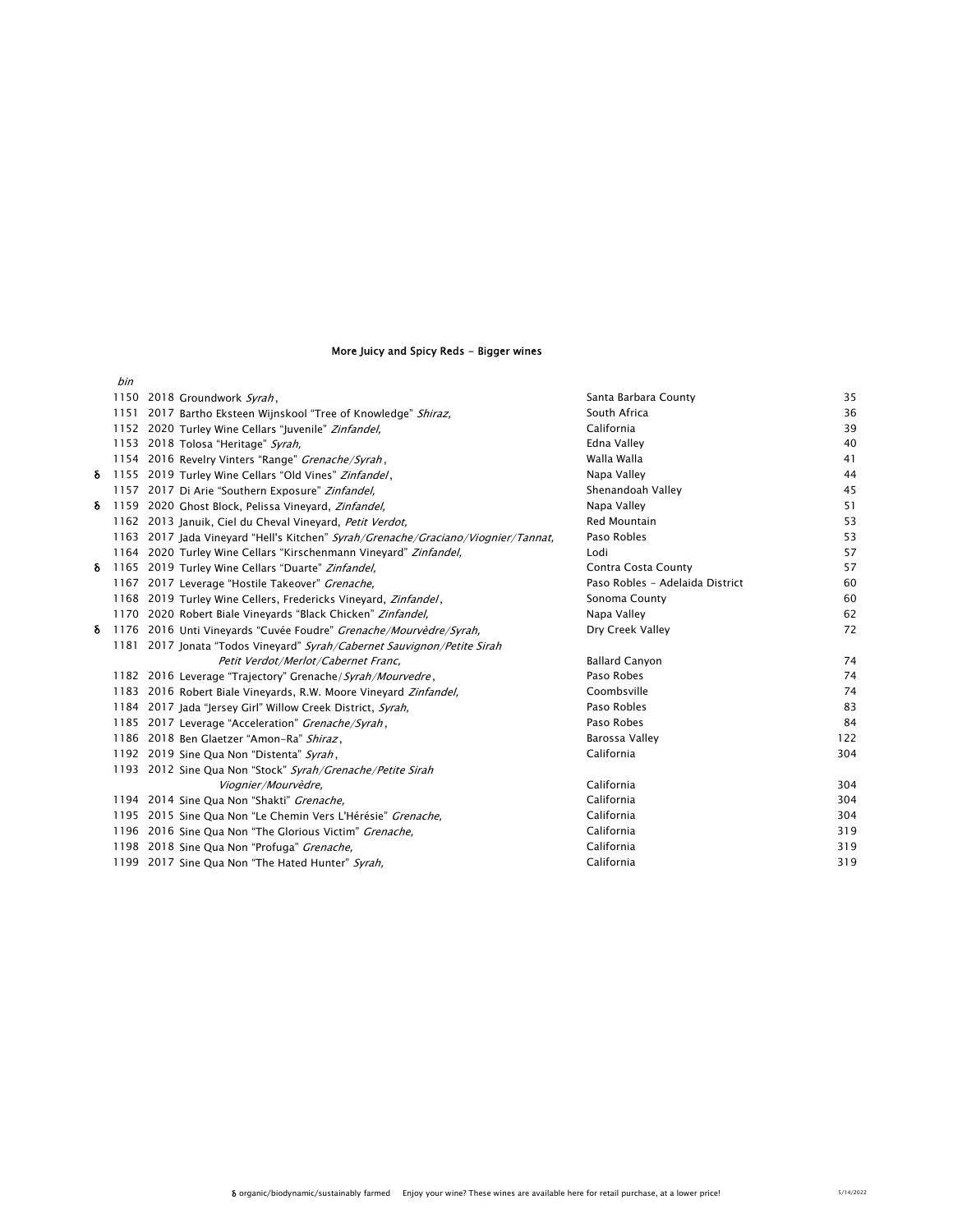# More Juicy and Spicy Reds - Bigger wines

|   | bin |                                                                                   |                                 |     |
|---|-----|-----------------------------------------------------------------------------------|---------------------------------|-----|
|   |     | 1150 2018 Groundwork Syrah,                                                       | Santa Barbara County            | 35  |
|   |     | 1151 2017 Bartho Eksteen Wijnskool "Tree of Knowledge" Shiraz,                    | South Africa                    | 36  |
|   |     | 1152 2020 Turley Wine Cellars "Juvenile" Zinfandel,                               | California                      | 39  |
|   |     | 1153 2018 Tolosa "Heritage" Syrah,                                                | Edna Valley                     | 40  |
|   |     | 1154 2016 Revelry Vinters "Range" Grenache/Syrah,                                 | Walla Walla                     | 41  |
| δ |     | 1155 2019 Turley Wine Cellars "Old Vines" Zinfandel,                              | Napa Valley                     | 44  |
|   |     | 1157 2017 Di Arie "Southern Exposure" Zinfandel,                                  | Shenandoah Valley               | 45  |
| δ |     | 1159 2020 Ghost Block, Pelissa Vineyard, Zinfandel,                               | Napa Valley                     | 51  |
|   |     | 1162 2013 Januik, Ciel du Cheval Vineyard, Petit Verdot,                          | Red Mountain                    | 53  |
|   |     | 1163 2017 Jada Vineyard "Hell's Kitchen" Syrah/Grenache/Graciano/Viognier/Tannat, | Paso Robles                     | 53  |
|   |     | 1164 2020 Turley Wine Cellars "Kirschenmann Vineyard" Zinfandel,                  | Lodi                            | 57  |
| δ |     | 1165 2019 Turley Wine Cellars "Duarte" Zinfandel,                                 | Contra Costa County             | 57  |
|   |     | 1167 2017 Leverage "Hostile Takeover" Grenache,                                   | Paso Robles - Adelaida District | 60  |
|   |     | 1168 2019 Turley Wine Cellers, Fredericks Vineyard, Zinfandel,                    | Sonoma County                   | 60  |
|   |     | 1170 2020 Robert Biale Vineyards "Black Chicken" Zinfandel,                       | Napa Valley                     | 62  |
| δ |     | 1176 2016 Unti Vineyards "Cuvée Foudre" Grenache/Mourvèdre/Syrah,                 | Dry Creek Valley                | 72  |
|   |     | 1181 2017 Jonata "Todos Vineyard" Syrah/Cabernet Sauvignon/Petite Sirah           |                                 |     |
|   |     | Petit Verdot/Merlot/Cabernet Franc,                                               | <b>Ballard Canyon</b>           | 74  |
|   |     | 1182 2016 Leverage "Trajectory" Grenache/Syrah/Mourvedre,                         | Paso Robes                      | 74  |
|   |     | 1183 2016 Robert Biale Vineyards, R.W. Moore Vineyard Zinfandel,                  | Coombsville                     | 74  |
|   |     | 1184 2017 Jada "Jersey Girl" Willow Creek District, Syrah,                        | Paso Robles                     | 83  |
|   |     | 1185 2017 Leverage "Acceleration" Grenache/Syrah,                                 | Paso Robes                      | 84  |
|   |     | 1186 2018 Ben Glaetzer "Amon-Ra" Shiraz,                                          | Barossa Valley                  | 122 |
|   |     | 1192 2019 Sine Qua Non "Distenta" Syrah,                                          | California                      | 304 |
|   |     | 1193 2012 Sine Qua Non "Stock" Syrah/Grenache/Petite Sirah                        |                                 |     |
|   |     | Viognier/Mourvèdre,                                                               | California                      | 304 |
|   |     | 1194 2014 Sine Qua Non "Shakti" Grenache,                                         | California                      | 304 |
|   |     | 1195 2015 Sine Qua Non "Le Chemin Vers L'Hérésie" Grenache,                       | California                      | 304 |
|   |     | 1196 2016 Sine Qua Non "The Glorious Victim" Grenache,                            | California                      | 319 |
|   |     | 1198 2018 Sine Qua Non "Profuga" Grenache,                                        | California                      | 319 |
|   |     | 1199 2017 Sine Qua Non "The Hated Hunter" Syrah,                                  | California                      | 319 |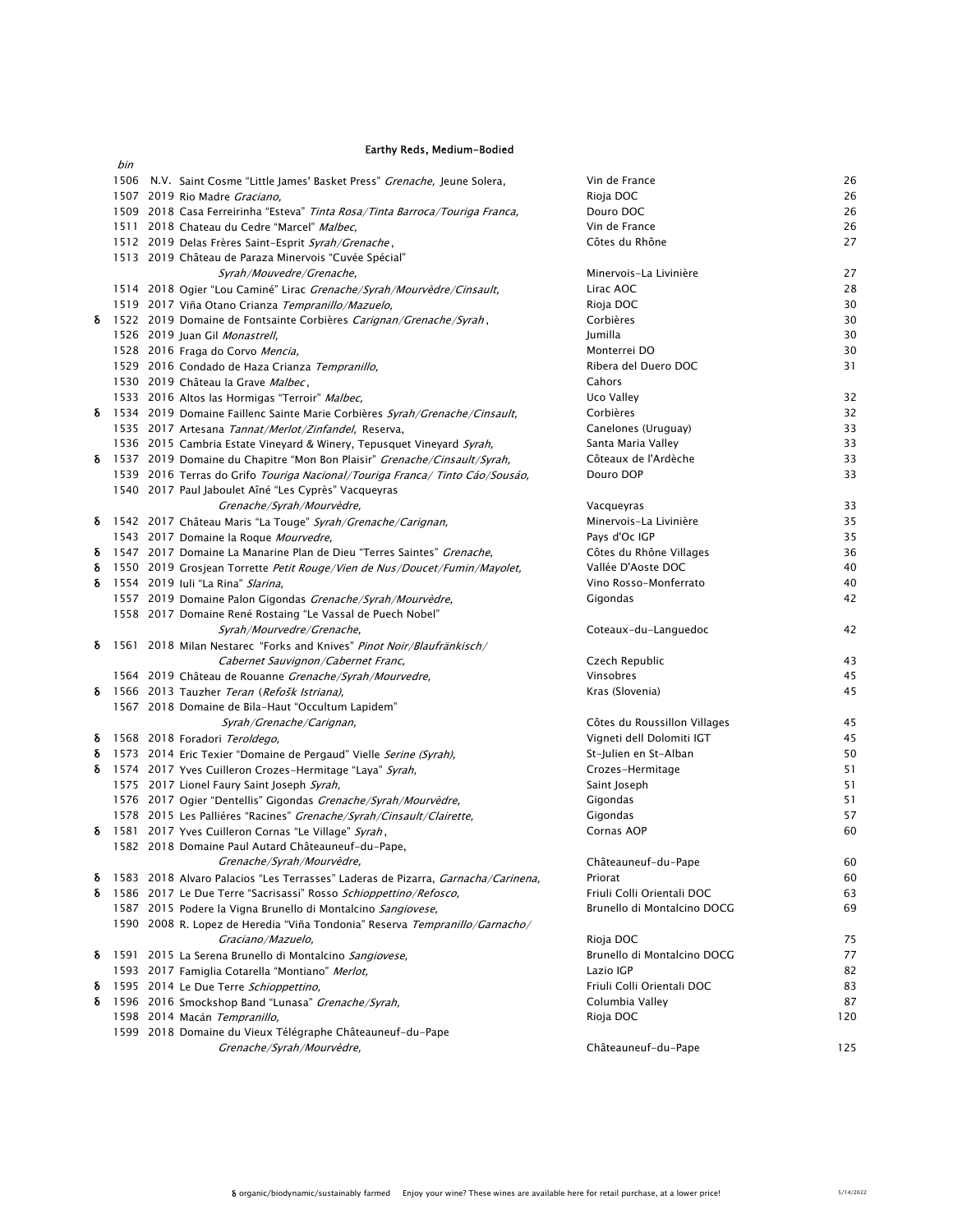### Earthy Reds, Medium-Bodied

|        | bin |                                                                                                                                                   |                                           |          |
|--------|-----|---------------------------------------------------------------------------------------------------------------------------------------------------|-------------------------------------------|----------|
|        |     | 1506 N.V. Saint Cosme "Little James' Basket Press" Grenache, Jeune Solera,                                                                        | Vin de France                             | 26       |
|        |     | 1507 2019 Rio Madre Graciano,                                                                                                                     | Rioja DOC                                 | 26       |
|        |     | 1509 2018 Casa Ferreirinha "Esteva" Tinta Rosa/Tinta Barroca/Touriga Franca,                                                                      | Douro DOC                                 | 26       |
|        |     | 1511 2018 Chateau du Cedre "Marcel" Malbec,                                                                                                       | Vin de France                             | 26       |
|        |     | 1512 2019 Delas Frères Saint-Esprit Syrah/Grenache,                                                                                               | Côtes du Rhône                            | 27       |
|        |     | 1513 2019 Château de Paraza Minervois "Cuvée Spécial"                                                                                             |                                           |          |
|        |     | Syrah/Mouvedre/Grenache,                                                                                                                          | Minervois-La Livinière                    | 27       |
|        |     | 1514 2018 Ogier "Lou Caminé" Lirac Grenache/Syrah/Mourvèdre/Cinsault,                                                                             | Lirac AOC                                 | 28       |
|        |     | 1519 2017 Viña Otano Crianza Tempranillo/Mazuelo,                                                                                                 | Rioja DOC                                 | 30       |
| δ      |     | 1522 2019 Domaine de Fontsainte Corbières Carignan/Grenache/Syrah,                                                                                | Corbières                                 | 30       |
|        |     | 1526 2019 Juan Gil Monastrell,                                                                                                                    | Jumilla                                   | 30       |
|        |     | 1528 2016 Fraga do Corvo Mencia,                                                                                                                  | Monterrei DO                              | 30       |
|        |     | 1529 2016 Condado de Haza Crianza Tempranillo,                                                                                                    | Ribera del Duero DOC                      | 31       |
|        |     | 1530 2019 Château la Grave Malbec,                                                                                                                | Cahors                                    |          |
|        |     | 1533 2016 Altos las Hormigas "Terroir" Malbec,                                                                                                    | Uco Valley                                | 32       |
| δ      |     | 1534 2019 Domaine Faillenc Sainte Marie Corbières Syrah/Grenache/Cinsault,                                                                        | Corbières                                 | 32<br>33 |
|        |     | 1535 2017 Artesana Tannat/Merlot/Zinfandel, Reserva,                                                                                              | Canelones (Uruguay)<br>Santa Maria Valley | 33       |
| δ      |     | 1536 2015 Cambria Estate Vineyard & Winery, Tepusquet Vineyard Syrah,<br>1537 2019 Domaine du Chapitre "Mon Bon Plaisir" Grenache/Cinsault/Syrah, | Côteaux de l'Ardèche                      | 33       |
|        |     | 1539 2016 Terras do Grifo Touriga Nacional/Touriga Franca/Tinto Cáo/Sousáo,                                                                       | Douro DOP                                 | 33       |
|        |     | 1540 2017 Paul Jaboulet Aîné "Les Cyprès" Vacqueyras                                                                                              |                                           |          |
|        |     | Grenache/Syrah/Mourvèdre,                                                                                                                         | Vacqueyras                                | 33       |
| δ      |     | 1542 2017 Château Maris "La Touge" Syrah/Grenache/Carignan,                                                                                       | Minervois-La Livinière                    | 35       |
|        |     | 1543 2017 Domaine la Roque Mourvedre,                                                                                                             | Pays d'Oc IGP                             | 35       |
| δ      |     | 1547 2017 Domaine La Manarine Plan de Dieu "Terres Saintes" Grenache,                                                                             | Côtes du Rhône Villages                   | 36       |
| δ      |     | 1550 2019 Grosjean Torrette Petit Rouge/Vien de Nus/Doucet/Fumin/Mayolet,                                                                         | Vallée D'Aoste DOC                        | 40       |
| δ      |     | 1554 2019 Iuli "La Rina" <i>Slarina</i> ,                                                                                                         | Vino Rosso-Monferrato                     | 40       |
|        |     | 1557 2019 Domaine Palon Gigondas Grenache/Syrah/Mourvèdre,                                                                                        | Gigondas                                  | 42       |
|        |     | 1558 2017 Domaine René Rostaing "Le Vassal de Puech Nobel"                                                                                        |                                           |          |
|        |     | Syrah/Mourvedre/Grenache,                                                                                                                         | Coteaux-du-Languedoc                      | 42       |
| δ      |     | 1561 2018 Milan Nestarec "Forks and Knives" Pinot Noir/Blaufränkisch/                                                                             |                                           |          |
|        |     | Cabernet Sauvignon/Cabernet Franc,                                                                                                                | Czech Republic                            | 43       |
|        |     | 1564 2019 Château de Rouanne Grenache/Syrah/Mourvedre,                                                                                            | Vinsobres                                 | 45       |
| ŏ      |     | 1566 2013 Tauzher Teran (Refošk Istriana),                                                                                                        | Kras (Slovenia)                           | 45       |
|        |     | 1567 2018 Domaine de Bila-Haut "Occultum Lapidem"                                                                                                 |                                           |          |
|        |     | Syrah/Grenache/Carignan,                                                                                                                          | Côtes du Roussillon Villages              | 45       |
| ò      |     | 1568 2018 Foradori Teroldego,                                                                                                                     | Vigneti dell Dolomiti IGT                 | 45       |
| δ      |     | 1573 2014 Eric Texier "Domaine de Pergaud" Vielle Serine (Syrah),                                                                                 | St-Julien en St-Alban                     | 50       |
| δ      |     | 1574 2017 Yves Cuilleron Crozes-Hermitage "Laya" Syrah,                                                                                           | Crozes-Hermitage                          | 51       |
|        |     | 1575 2017 Lionel Faury Saint Joseph Syrah,                                                                                                        | Saint Joseph                              | 51       |
|        |     | 1576 2017 Ogier "Dentellis" Gigondas Grenache/Syrah/Mourvèdre,                                                                                    | Gigondas                                  | 51       |
|        |     | 1578 2015 Les Palliéres "Racines" Grenache/Syrah/Cinsault/Clairette.                                                                              | Gigondas                                  | 57       |
| δ      |     | 1581 2017 Yves Cuilleron Cornas "Le Village" Syrah,                                                                                               | Cornas AOP                                | 60       |
|        |     | 1582 2018 Domaine Paul Autard Châteauneuf-du-Pape,                                                                                                |                                           |          |
|        |     | Grenache/Syrah/Mourvèdre,                                                                                                                         | Châteauneuf-du-Pape                       | 60       |
| δ      |     | 1583 2018 Alvaro Palacios "Les Terrasses" Laderas de Pizarra, Garnacha/Carinena,                                                                  | Priorat                                   | 60       |
| δ      |     | 1586 2017 Le Due Terre "Sacrisassi" Rosso Schioppettino/Refosco,                                                                                  | Friuli Colli Orientali DOC                | 63       |
|        |     | 1587 2015 Podere la Vigna Brunello di Montalcino Sangiovese,                                                                                      | Brunello di Montalcino DOCG               | 69       |
|        |     | 1590 2008 R. Lopez de Heredia "Viña Tondonia" Reserva Tempranillo/Garnacho/                                                                       |                                           |          |
|        |     | Graciano/Mazuelo,                                                                                                                                 | Rioja DOC                                 | 75       |
| δ      |     | 1591 2015 La Serena Brunello di Montalcino Sangiovese.                                                                                            | Brunello di Montalcino DOCG<br>Lazio IGP  | 77       |
|        |     | 1593 2017 Famiglia Cotarella "Montiano" Merlot,<br>1595 2014 Le Due Terre Schioppettino,                                                          |                                           | 82<br>83 |
| δ<br>δ |     |                                                                                                                                                   | Friuli Colli Orientali DOC                | 87       |
|        |     | 1596 2016 Smockshop Band "Lunasa" Grenache/Syrah,<br>1598 2014 Macán Tempranillo,                                                                 | Columbia Valley<br>Rioja DOC              | 120      |
|        |     | 1599 2018 Domaine du Vieux Télégraphe Châteauneuf-du-Pape                                                                                         |                                           |          |
|        |     | Grenache/Syrah/Mourvèdre,                                                                                                                         | Châteauneuf-du-Pape                       | 125      |
|        |     |                                                                                                                                                   |                                           |          |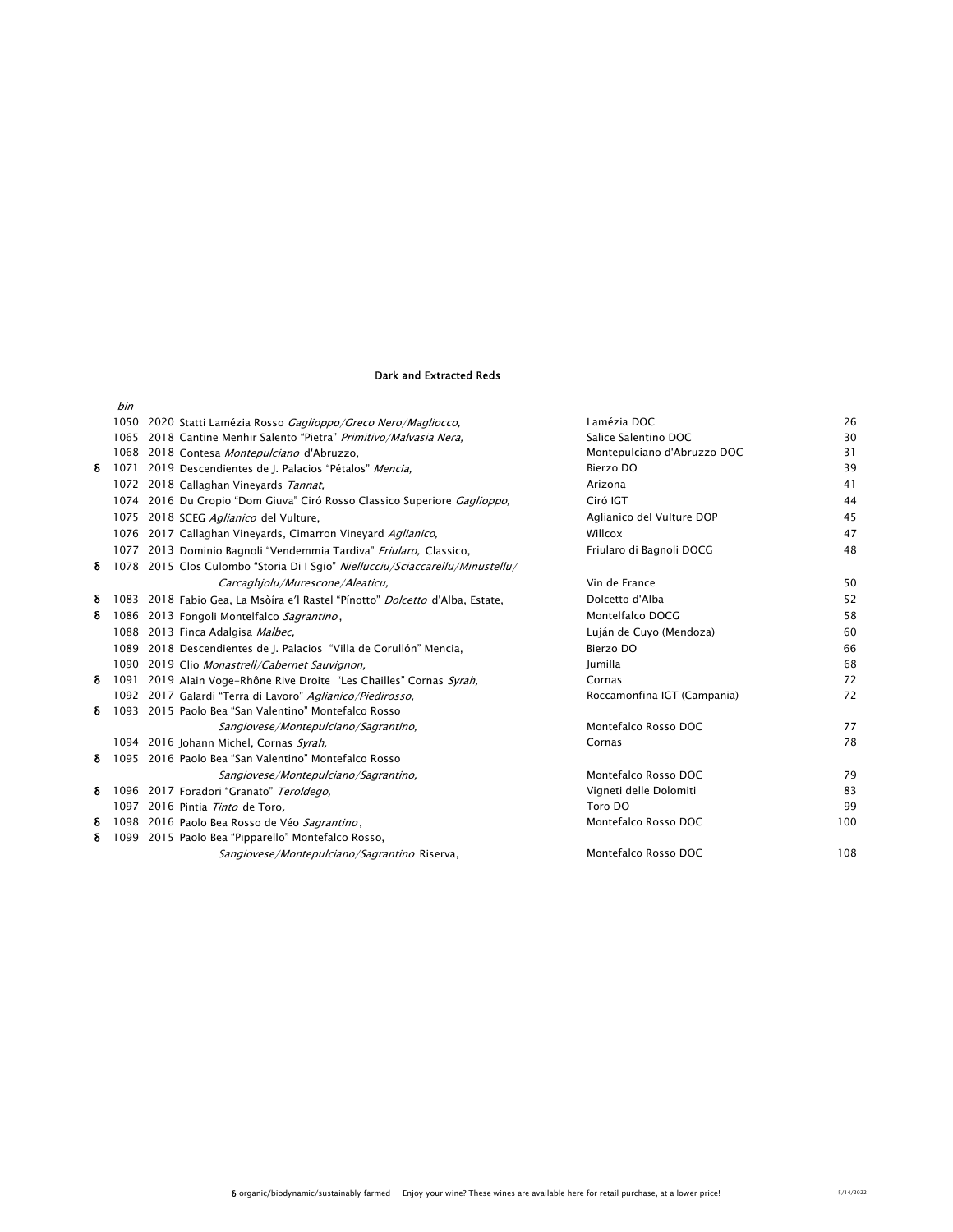# Dark and Extracted Reds

|   | 1050 2020 Statti Lamézia Rosso Gaglioppo/Greco Nero/Magliocco,                      | Lamézia DOC                 | 26  |
|---|-------------------------------------------------------------------------------------|-----------------------------|-----|
|   | 1065 2018 Cantine Menhir Salento "Pietra" Primitivo/Malvasia Nera,                  | Salice Salentino DOC        | 30  |
|   | 1068 2018 Contesa Montepulciano d'Abruzzo,                                          | Montepulciano d'Abruzzo DOC | 31  |
| δ | 1071 2019 Descendientes de J. Palacios "Pétalos" Mencia,                            | Bierzo DO                   | 39  |
|   | 1072 2018 Callaghan Vineyards Tannat,                                               | Arizona                     | 41  |
|   | 1074 2016 Du Cropio "Dom Giuva" Ciró Rosso Classico Superiore Gaglioppo,            | Ciró IGT                    | 44  |
|   | 1075 2018 SCEG Aglianico del Vulture,                                               | Aglianico del Vulture DOP   | 45  |
|   | 1076 2017 Callaghan Vineyards, Cimarron Vineyard Aglianico,                         | Willcox                     | 47  |
|   | 1077 2013 Dominio Bagnoli "Vendemmia Tardiva" Friularo, Classico,                   | Friularo di Bagnoli DOCG    | 48  |
| δ | 1078 2015 Clos Culombo "Storia Di I Sgio" Niellucciu/Sciaccarellu/Minustellu/       |                             |     |
|   | Carcaghjolu/Murescone/Aleaticu,                                                     | Vin de France               | 50  |
| δ | 1083 2018 Fabio Gea, La Msòíra e'l Rastel "Pínotto" <i>Dolcetto</i> d'Alba, Estate, | Dolcetto d'Alba             | 52  |
| δ | 1086 2013 Fongoli Montelfalco Sagrantino,                                           | Montelfalco DOCG            | 58  |
|   | 1088 2013 Finca Adalgisa Malbec,                                                    | Luján de Cuyo (Mendoza)     | 60  |
|   | 1089 2018 Descendientes de J. Palacios "Villa de Corullón" Mencia,                  | Bierzo DO                   | 66  |
|   | 1090 2019 Clio Monastrell/Cabernet Sauvignon,                                       | Jumilla                     | 68  |
| δ | 1091 2019 Alain Voge-Rhône Rive Droite "Les Chailles" Cornas Syrah.                 | Cornas                      | 72  |
|   | 1092 2017 Galardi "Terra di Lavoro" Aglianico/Piedirosso.                           | Roccamonfina IGT (Campania) | 72  |
| δ | 1093 2015 Paolo Bea "San Valentino" Montefalco Rosso                                |                             |     |
|   | Sangiovese/Montepulciano/Sagrantino,                                                | Montefalco Rosso DOC        | 77  |
|   | 1094 2016 Johann Michel, Cornas Syrah,                                              | Cornas                      | 78  |
| δ | 1095 2016 Paolo Bea "San Valentino" Montefalco Rosso                                |                             |     |
|   | Sangiovese/Montepulciano/Sagrantino,                                                | Montefalco Rosso DOC        | 79  |
| δ | 1096 2017 Foradori "Granato" Teroldego,                                             | Vigneti delle Dolomiti      | 83  |
|   | 1097 2016 Pintia Tinto de Toro.                                                     | Toro DO                     | 99  |
| δ | 1098 2016 Paolo Bea Rosso de Véo Sagrantino,                                        | Montefalco Rosso DOC        | 100 |
| δ | 1099 2015 Paolo Bea "Pipparello" Montefalco Rosso,                                  |                             |     |
|   | Sangiovese/Montepulciano/Sagrantino Riserva,                                        | Montefalco Rosso DOC        | 108 |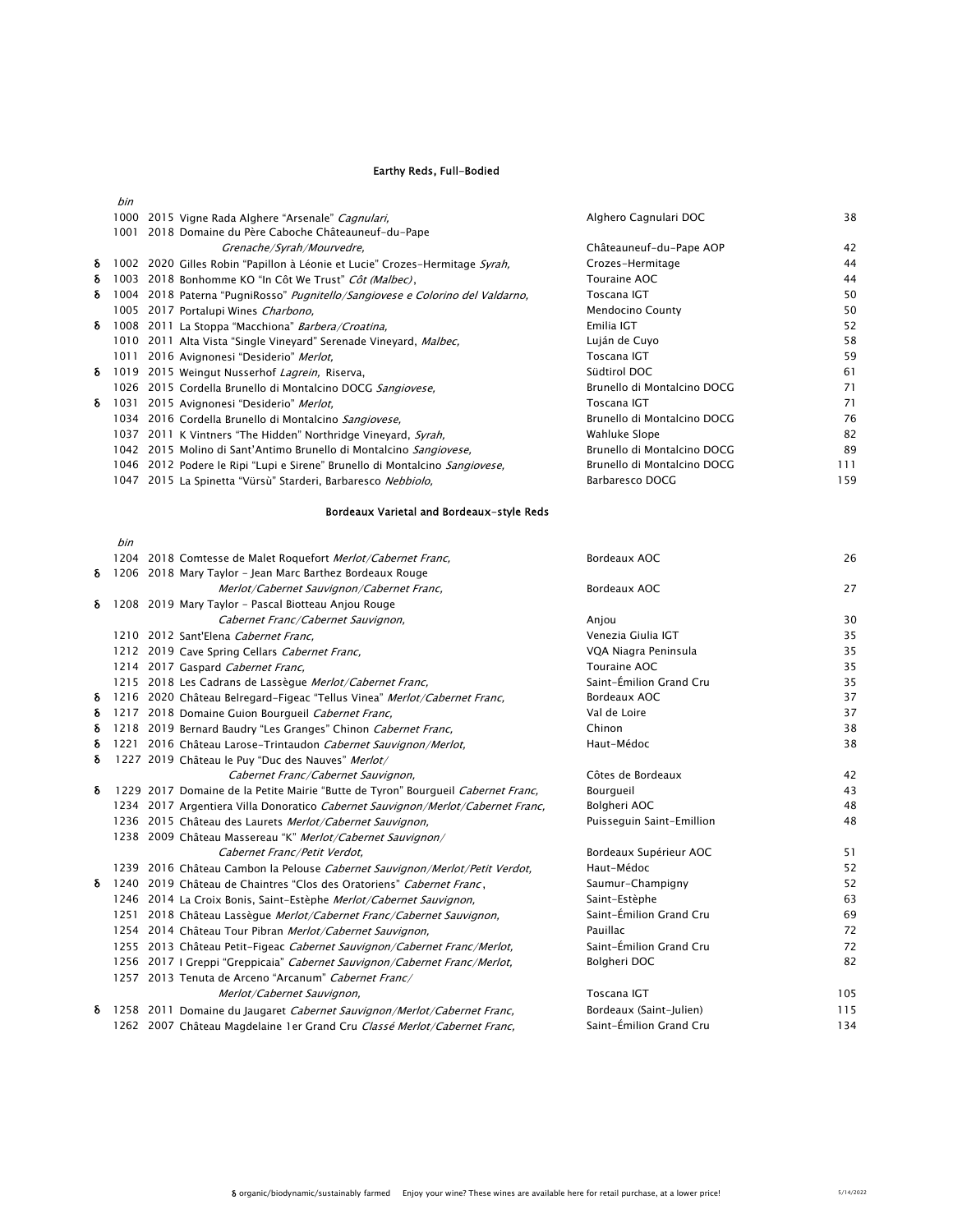# Earthy Reds, Full-Bodied

|   | bin  |                                                                                       |                             |     |
|---|------|---------------------------------------------------------------------------------------|-----------------------------|-----|
|   | 1000 | 2015 Vigne Rada Alghere "Arsenale" <i>Cagnulari</i> ,                                 | Alghero Cagnulari DOC       | 38  |
|   | 1001 | 2018 Domaine du Père Caboche Châteauneuf-du-Pape                                      |                             |     |
|   |      | Grenache/Syrah/Mourvedre,                                                             | Châteauneuf-du-Pape AOP     | 42  |
| δ |      | 1002 2020 Gilles Robin "Papillon à Léonie et Lucie" Crozes-Hermitage Syrah,           | Crozes-Hermitage            | 44  |
| δ | 1003 | 2018 Bonhomme KO "In Côt We Trust" Côt (Malbec),                                      | Touraine AOC                | 44  |
| δ |      | 1004 2018 Paterna "PugniRosso" <i>Pugnitello/Sangiovese e Colorino del Valdarno</i> , | Toscana IGT                 | 50  |
|   |      | 1005 2017 Portalupi Wines Charbono,                                                   | Mendocino County            | 50  |
| δ |      | 1008 2011 La Stoppa "Macchiona" <i>Barbera/Croatina</i> ,                             | Emilia IGT                  | 52  |
|   |      | 1010 2011 Alta Vista "Single Vineyard" Serenade Vineyard, Malbec,                     | Luján de Cuyo               | 58  |
|   | 1011 | 2016 Avignonesi "Desiderio" Merlot,                                                   | Toscana IGT                 | 59  |
| δ | 1019 | 2015 Weingut Nusserhof Lagrein, Riserva,                                              | Südtirol DOC                | 61  |
|   |      | 1026 2015 Cordella Brunello di Montalcino DOCG Sangiovese,                            | Brunello di Montalcino DOCG | 71  |
| δ | 1031 | 2015 Avignonesi "Desiderio" Merlot.                                                   | Toscana IGT                 | 71  |
|   |      | 1034 2016 Cordella Brunello di Montalcino Sangiovese.                                 | Brunello di Montalcino DOCG | 76  |
|   |      | 1037 2011 K Vintners "The Hidden" Northridge Vineyard, Syrah,                         | Wahluke Slope               | 82  |
|   |      | 1042 2015 Molino di Sant'Antimo Brunello di Montalcino Sangiovese,                    | Brunello di Montalcino DOCG | 89  |
|   |      | 1046 2012 Podere le Ripi "Lupi e Sirene" Brunello di Montalcino Sangiovese,           | Brunello di Montalcino DOCG | 111 |
|   | 1047 | 2015 La Spinetta "Vürsù" Starderi, Barbaresco <i>Nebbiolo</i> ,                       | Barbaresco DOCG             | 159 |
|   |      |                                                                                       |                             |     |

# Bordeaux Varietal and Bordeaux-style Reds

|   | bin |                                                                                  |                           |     |
|---|-----|----------------------------------------------------------------------------------|---------------------------|-----|
|   |     | 1204 2018 Comtesse de Malet Roquefort Merlot/Cabernet Franc,                     | Bordeaux AOC              | 26  |
| δ |     | 1206 2018 Mary Taylor - Jean Marc Barthez Bordeaux Rouge                         |                           |     |
|   |     | Merlot/Cabernet Sauvignon/Cabernet Franc,                                        | Bordeaux AOC              | 27  |
| δ |     | 1208 2019 Mary Taylor - Pascal Biotteau Anjou Rouge                              |                           |     |
|   |     | Cabernet Franc/Cabernet Sauvignon,                                               | Anjou                     | 30  |
|   |     | 1210 2012 Sant'Elena Cabernet Franc.                                             | Venezia Giulia IGT        | 35  |
|   |     | 1212 2019 Cave Spring Cellars Cabernet Franc,                                    | VQA Niagra Peninsula      | 35  |
|   |     | 1214 2017 Gaspard Cabernet Franc,                                                | Touraine AOC              | 35  |
|   |     | 1215 2018 Les Cadrans de Lassègue Merlot/Cabernet Franc,                         | Saint-Émilion Grand Cru   | 35  |
| δ |     | 1216 2020 Château Belregard-Figeac "Tellus Vinea" Merlot/Cabernet Franc,         | Bordeaux AOC              | 37  |
| δ |     | 1217 2018 Domaine Guion Bourgueil Cabernet Franc,                                | Val de Loire              | 37  |
| δ |     | 1218 2019 Bernard Baudry "Les Granges" Chinon Cabernet Franc,                    | Chinon                    | 38  |
| δ |     | 1221 2016 Château Larose-Trintaudon Cabernet Sauvignon/Merlot,                   | Haut-Médoc                | 38  |
| δ |     | 1227 2019 Château le Puy "Duc des Nauves" Merlot/                                |                           |     |
|   |     | Cabernet Franc/Cabernet Sauvignon,                                               | Côtes de Bordeaux         | 42  |
| δ |     | 1229 2017 Domaine de la Petite Mairie "Butte de Tyron" Bourgueil Cabernet Franc, | Bourgueil                 | 43  |
|   |     | 1234 2017 Argentiera Villa Donoratico Cabernet Sauvignon/Merlot/Cabernet Franc,  | Bolgheri AOC              | 48  |
|   |     | 1236 2015 Château des Laurets Merlot/Cabernet Sauvignon,                         | Puisseguin Saint-Emillion | 48  |
|   |     | 1238 2009 Château Massereau "K" Merlot/Cabernet Sauvignon/                       |                           |     |
|   |     | Cabernet Franc/Petit Verdot,                                                     | Bordeaux Supérieur AOC    | 51  |
|   |     | 1239 2016 Château Cambon la Pelouse Cabernet Sauvignon/Merlot/Petit Verdot,      | Haut-Médoc                | 52  |
| δ |     | 1240 2019 Château de Chaintres "Clos des Oratoriens" Cabernet Franc,             | Saumur-Champigny          | 52  |
|   |     | 1246 2014 La Croix Bonis, Saint-Estèphe Merlot/Cabernet Sauvignon,               | Saint-Estèphe             | 63  |
|   |     | 1251 2018 Château Lassègue Merlot/Cabernet Franc/Cabernet Sauvignon,             | Saint-Émilion Grand Cru   | 69  |
|   |     | 1254 2014 Château Tour Pibran Merlot/Cabernet Sauvignon,                         | Pauillac                  | 72  |
|   |     | 1255 2013 Château Petit-Figeac Cabernet Sauvignon/Cabernet Franc/Merlot,         | Saint-Émilion Grand Cru   | 72  |
|   |     | 1256 2017   Greppi "Greppicaia" Cabernet Sauvignon/Cabernet Franc/Merlot,        | Bolgheri DOC              | 82  |
|   |     | 1257 2013 Tenuta de Arceno "Arcanum" Cabernet Franc/                             |                           |     |
|   |     | Merlot/Cabernet Sauvignon,                                                       | Toscana IGT               | 105 |
| δ |     | 1258 2011 Domaine du Jaugaret Cabernet Sauvignon/Merlot/Cabernet Franc,          | Bordeaux (Saint-Julien)   | 115 |
|   |     | 1262 2007 Château Magdelaine 1er Grand Cru Classé Merlot/Cabernet Franc,         | Saint-Émilion Grand Cru   | 134 |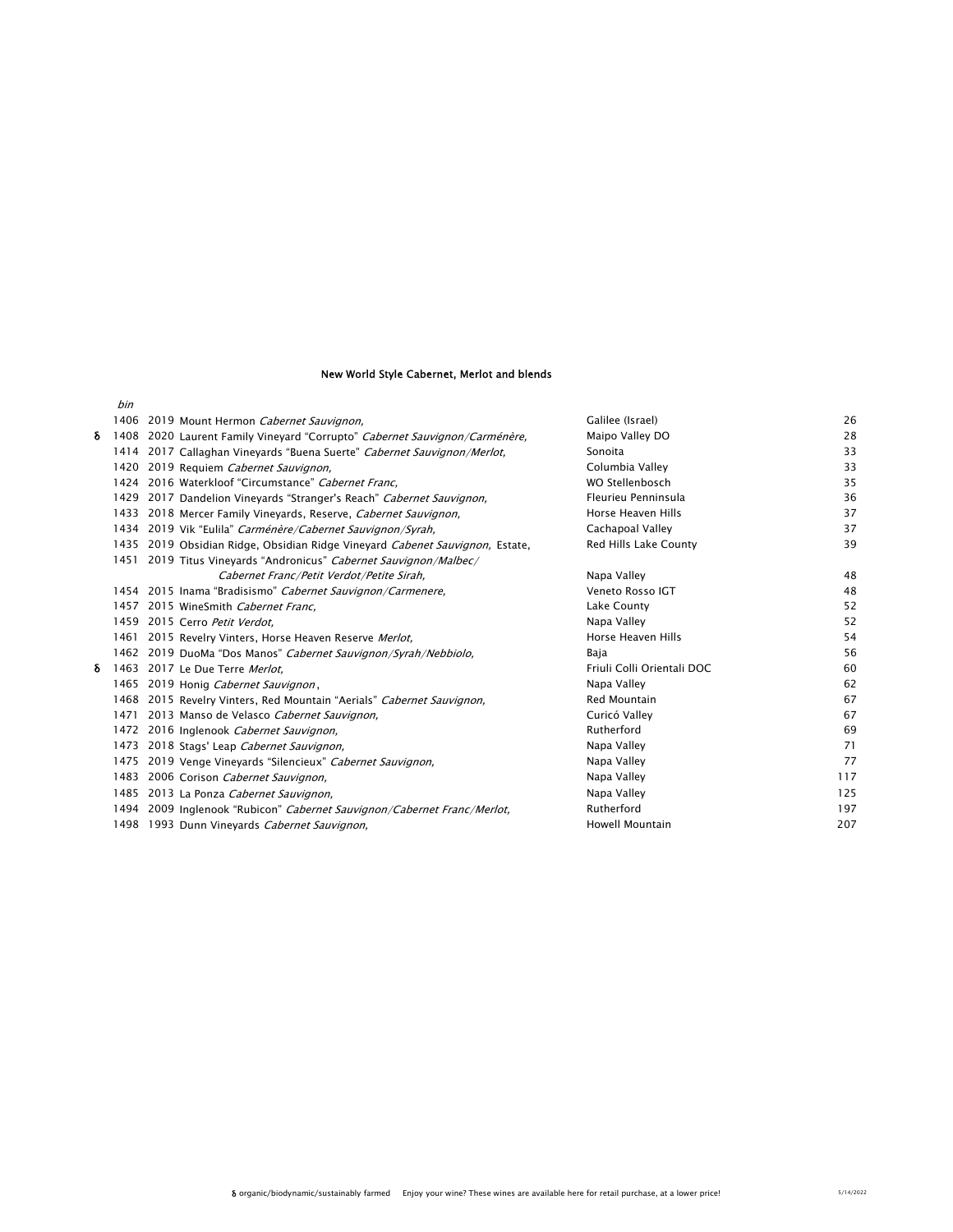#### New World Style Cabernet, Merlot and blends

|   | bin  |                                                                              |                            |     |
|---|------|------------------------------------------------------------------------------|----------------------------|-----|
|   |      | 1406 2019 Mount Hermon Cabernet Sauvignon,                                   | Galilee (Israel)           | 26  |
| δ |      | 1408 2020 Laurent Family Vineyard "Corrupto" Cabernet Sauvignon/Carménère,   | Maipo Valley DO            | 28  |
|   | 1414 | 2017 Callaghan Vineyards "Buena Suerte" Cabernet Sauvignon/Merlot,           | Sonoita                    | 33  |
|   |      | 1420 2019 Requiem Cabernet Sauvignon,                                        | Columbia Valley            | 33  |
|   |      | 1424 2016 Waterkloof "Circumstance" Cabernet Franc.                          | WO Stellenbosch            | 35  |
|   | 1429 | 2017 Dandelion Vineyards "Stranger's Reach" Cabernet Sauvignon,              | Fleurieu Penninsula        | 36  |
|   |      | 1433 2018 Mercer Family Vineyards, Reserve, <i>Cabernet Sauvignon</i> ,      | Horse Heaven Hills         | 37  |
|   |      | 1434 2019 Vik "Eulila" Carménère/Cabernet Sauvignon/Syrah,                   | Cachapoal Valley           | 37  |
|   |      | 1435 2019 Obsidian Ridge, Obsidian Ridge Vineyard Cabenet Sauvignon, Estate, | Red Hills Lake County      | 39  |
|   |      | 1451 2019 Titus Vineyards "Andronicus" Cabernet Sauvignon/Malbec/            |                            |     |
|   |      | Cabernet Franc/Petit Verdot/Petite Sirah,                                    | Napa Valley                | 48  |
|   |      | 1454 2015 Inama "Bradisismo" Cabernet Sauvignon/Carmenere,                   | Veneto Rosso IGT           | 48  |
|   |      | 1457 2015 WineSmith Cabernet Franc.                                          | Lake County                | 52  |
|   |      | 1459 2015 Cerro Petit Verdot.                                                | Napa Valley                | 52  |
|   |      | 1461 2015 Revelry Vinters, Horse Heaven Reserve Merlot,                      | Horse Heaven Hills         | 54  |
|   |      | 1462 2019 DuoMa "Dos Manos" Cabernet Sauvignon/Syrah/Nebbiolo,               | Baja                       | 56  |
| δ |      | 1463 2017 Le Due Terre Merlot.                                               | Friuli Colli Orientali DOC | 60  |
|   |      | 1465 2019 Honig Cabernet Sauvignon,                                          | Napa Valley                | 62  |
|   |      | 1468 2015 Revelry Vinters, Red Mountain "Aerials" Cabernet Sauvignon,        | <b>Red Mountain</b>        | 67  |
|   | 1471 | 2013 Manso de Velasco Cabernet Sauvignon,                                    | Curicó Valley              | 67  |
|   |      | 1472 2016 Inglenook Cabernet Sauvignon,                                      | Rutherford                 | 69  |
|   |      | 1473 2018 Stags' Leap Cabernet Sauvignon,                                    | Napa Valley                | 71  |
|   |      | 1475 2019 Venge Vineyards "Silencieux" Cabernet Sauvignon,                   | Napa Valley                | 77  |
|   |      | 1483 2006 Corison Cabernet Sauvignon,                                        | Napa Valley                | 117 |
|   |      | 1485 2013 La Ponza Cabernet Sauvignon,                                       | Napa Valley                | 125 |
|   |      | 1494 2009 Inglenook "Rubicon" Cabernet Sauvignon/Cabernet Franc/Merlot,      | Rutherford                 | 197 |
|   |      | 1498 1993 Dunn Vineyards Cabernet Sauvignon,                                 | Howell Mountain            | 207 |